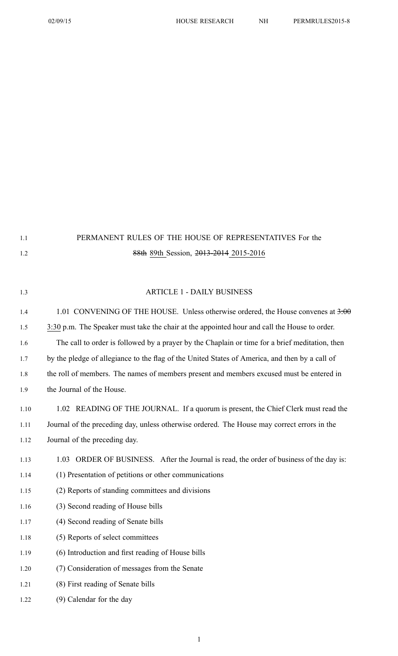| 1.1  | PERMANENT RULES OF THE HOUSE OF REPRESENTATIVES For the                                        |
|------|------------------------------------------------------------------------------------------------|
| 1.2  | 88th 89th Session, 2013-2014 2015-2016                                                         |
|      |                                                                                                |
| 1.3  | <b>ARTICLE 1 - DAILY BUSINESS</b>                                                              |
| 1.4  | 1.01 CONVENING OF THE HOUSE. Unless otherwise ordered, the House convenes at 3:00              |
| 1.5  | 3:30 p.m. The Speaker must take the chair at the appointed hour and call the House to order.   |
| 1.6  | The call to order is followed by a prayer by the Chaplain or time for a brief meditation, then |
| 1.7  | by the pledge of allegiance to the flag of the United States of America, and then by a call of |
| 1.8  | the roll of members. The names of members present and members excused must be entered in       |
| 1.9  | the Journal of the House.                                                                      |
| 1.10 | 1.02 READING OF THE JOURNAL. If a quorum is present, the Chief Clerk must read the             |
| 1.11 | Journal of the preceding day, unless otherwise ordered. The House may correct errors in the    |
| 1.12 | Journal of the preceding day.                                                                  |
| 1.13 | 1.03 ORDER OF BUSINESS. After the Journal is read, the order of business of the day is:        |
| 1.14 | (1) Presentation of petitions or other communications                                          |
| 1.15 | (2) Reports of standing committees and divisions                                               |
| 1.16 | (3) Second reading of House bills                                                              |
| 1.17 | (4) Second reading of Senate bills                                                             |
| 1.18 | (5) Reports of select committees                                                               |
| 1.19 | (6) Introduction and first reading of House bills                                              |
| 1.20 | (7) Consideration of messages from the Senate                                                  |
| 1.21 | (8) First reading of Senate bills                                                              |
| 1.22 | (9) Calendar for the day                                                                       |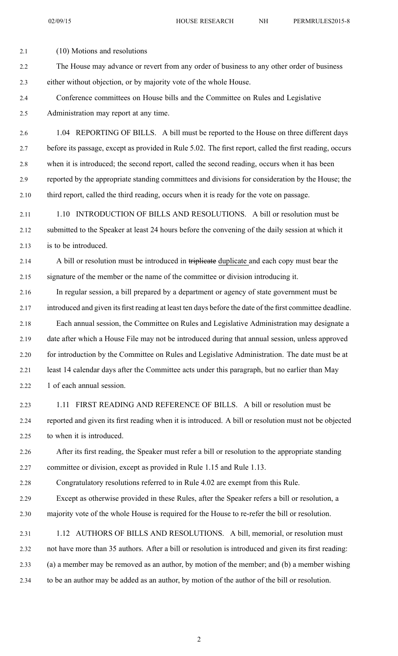02/09/15 HOUSE RESEARCH NH PERMRULES2015-8

2.1 (10) Motions and resolutions 2.2 The House may advance or revert from any order of business to any other order of business 2.3 either without objection, or by majority vote of the whole House. 2.4 Conference committees on House bills and the Committee on Rules and Legislative 2.5 Administration may repor<sup>t</sup> at any time. 2.6 1.04 REPORTING OF BILLS. A bill must be reported to the House on three different days 2.7 before its passage, excep<sup>t</sup> as provided in Rule 5.02. The first report, called the first reading, occurs 2.8 when it is introduced; the second report, called the second reading, occurs when it has been 2.9 reported by the appropriate standing committees and divisions for consideration by the House; the 2.10 third report, called the third reading, occurs when it is ready for the vote on passage. 2.11 1.10 INTRODUCTION OF BILLS AND RESOLUTIONS. A bill or resolution must be 2.12 submitted to the Speaker at least 24 hours before the convening of the daily session at which it 2.13 is to be introduced. 2.14 A bill or resolution must be introduced in triplicate duplicate and each copy must bear the 2.15 signature of the member or the name of the committee or division introducing it. 2.16 In regular session, <sup>a</sup> bill prepared by <sup>a</sup> department or agency of state governmen<sup>t</sup> must be 2.17 introduced and given its first reading at least ten days before the date of the first committee deadline. 2.18 Each annual session, the Committee on Rules and Legislative Administration may designate <sup>a</sup> 2.19 date after which <sup>a</sup> House File may not be introduced during that annual session, unless approved 2.20 for introduction by the Committee on Rules and Legislative Administration. The date must be at 2.21 least 14 calendar days after the Committee acts under this paragraph, but no earlier than May 2.22 1 of each annual session. 2.23 1.11 FIRST READING AND REFERENCE OF BILLS. A bill or resolution must be 2.24 reported and given its first reading when it is introduced. A bill or resolution must not be objected 2.25 to when it is introduced. 2.26 After its first reading, the Speaker must refer <sup>a</sup> bill or resolution to the appropriate standing 2.27 committee or division, excep<sup>t</sup> as provided in Rule 1.15 and Rule 1.13. 2.28 Congratulatory resolutions referred to in Rule 4.02 are exemp<sup>t</sup> from this Rule. 2.29 Except as otherwise provided in these Rules, after the Speaker refers <sup>a</sup> bill or resolution, <sup>a</sup> 2.30 majority vote of the whole House is required for the House to re-refer the bill or resolution. 2.31 1.12 AUTHORS OF BILLS AND RESOLUTIONS. A bill, memorial, or resolution must 2.32 not have more than 35 authors. After <sup>a</sup> bill or resolution is introduced and given its first reading: 2.33 (a) <sup>a</sup> member may be removed as an author, by motion of the member; and (b) <sup>a</sup> member wishing 2.34 to be an author may be added as an author, by motion of the author of the bill or resolution.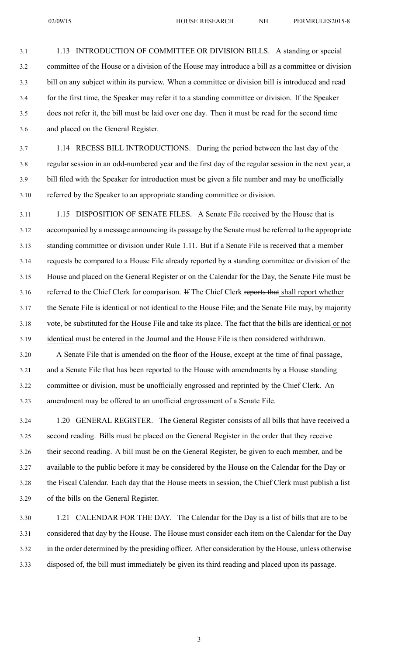3.1 1.13 INTRODUCTION OF COMMITTEE OR DIVISION BILLS. A standing or special 3.2 committee of the House or <sup>a</sup> division of the House may introduce <sup>a</sup> bill as <sup>a</sup> committee or division 3.3 bill on any subject within its purview. When <sup>a</sup> committee or division bill is introduced and read 3.4 for the first time, the Speaker may refer it to <sup>a</sup> standing committee or division. If the Speaker 3.5 does not refer it, the bill must be laid over one day. Then it must be read for the second time 3.6 and placed on the General Register.

3.7 1.14 RECESS BILL INTRODUCTIONS. During the period between the last day of the 3.8 regular session in an odd-numbered year and the first day of the regular session in the next year, <sup>a</sup> 3.9 bill filed with the Speaker for introduction must be given <sup>a</sup> file number and may be unofficially 3.10 referred by the Speaker to an appropriate standing committee or division.

3.11 1.15 DISPOSITION OF SENATE FILES. A Senate File received by the House that is 3.12 accompanied by <sup>a</sup> message announcing its passage by the Senate must be referred to the appropriate 3.13 standing committee or division under Rule 1.11. But if <sup>a</sup> Senate File is received that <sup>a</sup> member 3.14 requests be compared to <sup>a</sup> House File already reported by <sup>a</sup> standing committee or division of the 3.15 House and placed on the General Register or on the Calendar for the Day, the Senate File must be 3.16 referred to the Chief Clerk for comparison. If The Chief Clerk reports that shall report whether 3.17 the Senate File is identical or not identical to the House File, and the Senate File may, by majority 3.18 vote, be substituted for the House File and take its place. The fact that the bills are identical or not 3.19 identical must be entered in the Journal and the House File is then considered withdrawn.

3.20 A Senate File that is amended on the floor of the House, excep<sup>t</sup> at the time of final passage, 3.21 and <sup>a</sup> Senate File that has been reported to the House with amendments by <sup>a</sup> House standing 3.22 committee or division, must be unofficially engrossed and reprinted by the Chief Clerk. An 3.23 amendment may be offered to an unofficial engrossmen<sup>t</sup> of <sup>a</sup> Senate File.

3.24 1.20 GENERAL REGISTER. The General Register consists of all bills that have received <sup>a</sup> 3.25 second reading. Bills must be placed on the General Register in the order that they receive 3.26 their second reading. A bill must be on the General Register, be given to each member, and be 3.27 available to the public before it may be considered by the House on the Calendar for the Day or 3.28 the Fiscal Calendar. Each day that the House meets in session, the Chief Clerk must publish <sup>a</sup> list 3.29 of the bills on the General Register.

3.30 1.21 CALENDAR FOR THE DAY. The Calendar for the Day is <sup>a</sup> list of bills that are to be 3.31 considered that day by the House. The House must consider each item on the Calendar for the Day 3.32 in the order determined by the presiding officer. After consideration by the House, unless otherwise 3.33 disposed of, the bill must immediately be given its third reading and placed upon its passage.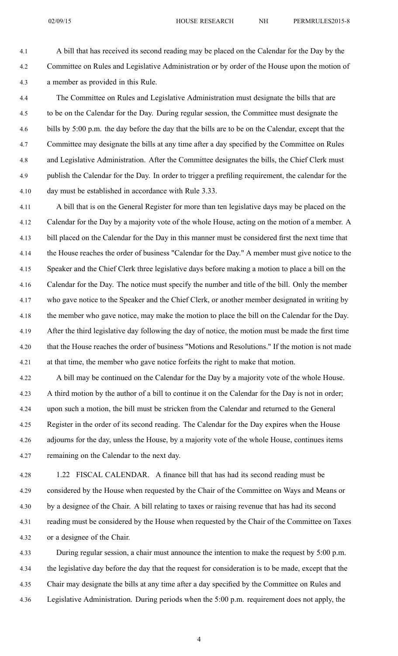4.1 A bill that has received its second reading may be placed on the Calendar for the Day by the 4.2 Committee on Rules and Legislative Administration or by order of the House upon the motion of 4.3 <sup>a</sup> member as provided in this Rule.

4.4 The Committee on Rules and Legislative Administration must designate the bills that are 4.5 to be on the Calendar for the Day. During regular session, the Committee must designate the 4.6 bills by 5:00 p.m. the day before the day that the bills are to be on the Calendar, excep<sup>t</sup> that the 4.7 Committee may designate the bills at any time after <sup>a</sup> day specified by the Committee on Rules 4.8 and Legislative Administration. After the Committee designates the bills, the Chief Clerk must 4.9 publish the Calendar for the Day. In order to trigger <sup>a</sup> prefiling requirement, the calendar for the 4.10 day must be established in accordance with Rule 3.33.

4.11 A bill that is on the General Register for more than ten legislative days may be placed on the 4.12 Calendar for the Day by <sup>a</sup> majority vote of the whole House, acting on the motion of <sup>a</sup> member. A 4.13 bill placed on the Calendar for the Day in this manner must be considered first the next time that 4.14 the House reaches the order of business "Calendar for the Day." A member must give notice to the 4.15 Speaker and the Chief Clerk three legislative days before making <sup>a</sup> motion to place <sup>a</sup> bill on the 4.16 Calendar for the Day. The notice must specify the number and title of the bill. Only the member 4.17 who gave notice to the Speaker and the Chief Clerk, or another member designated in writing by 4.18 the member who gave notice, may make the motion to place the bill on the Calendar for the Day. 4.19 After the third legislative day following the day of notice, the motion must be made the first time 4.20 that the House reaches the order of business "Motions and Resolutions." If the motion is not made 4.21 at that time, the member who gave notice forfeits the right to make that motion.

4.22 A bill may be continued on the Calendar for the Day by <sup>a</sup> majority vote of the whole House. 4.23 A third motion by the author of <sup>a</sup> bill to continue it on the Calendar for the Day is not in order; 4.24 upon such <sup>a</sup> motion, the bill must be stricken from the Calendar and returned to the General 4.25 Register in the order of its second reading. The Calendar for the Day expires when the House 4.26 adjourns for the day, unless the House, by <sup>a</sup> majority vote of the whole House, continues items 4.27 remaining on the Calendar to the next day.

4.28 1.22 FISCAL CALENDAR. A finance bill that has had its second reading must be 4.29 considered by the House when requested by the Chair of the Committee on Ways and Means or 4.30 by <sup>a</sup> designee of the Chair. A bill relating to taxes or raising revenue that has had its second 4.31 reading must be considered by the House when requested by the Chair of the Committee on Taxes 4.32 or <sup>a</sup> designee of the Chair.

4.33 During regular session, <sup>a</sup> chair must announce the intention to make the reques<sup>t</sup> by 5:00 p.m. 4.34 the legislative day before the day that the reques<sup>t</sup> for consideration is to be made, excep<sup>t</sup> that the 4.35 Chair may designate the bills at any time after <sup>a</sup> day specified by the Committee on Rules and 4.36 Legislative Administration. During periods when the 5:00 p.m. requirement does not apply, the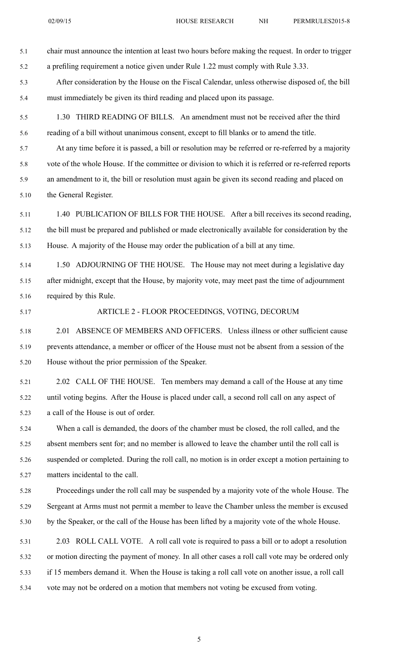5.1 chair must announce the intention at least two hours before making the request. In order to trigger 5.2 <sup>a</sup> prefiling requirement <sup>a</sup> notice given under Rule 1.22 must comply with Rule 3.33.

- 5.3 After consideration by the House on the Fiscal Calendar, unless otherwise disposed of, the bill 5.4 must immediately be given its third reading and placed upon its passage.
- 5.5 1.30 THIRD READING OF BILLS. An amendment must not be received after the third 5.6 reading of <sup>a</sup> bill without unanimous consent, excep<sup>t</sup> to fill blanks or to amend the title.

5.7 At any time before it is passed, <sup>a</sup> bill or resolution may be referred or re-referred by <sup>a</sup> majority 5.8 vote of the whole House. If the committee or division to which it is referred or re-referred reports 5.9 an amendment to it, the bill or resolution must again be given its second reading and placed on 5.10 the General Register.

- 5.11 1.40 PUBLICATION OF BILLS FOR THE HOUSE. After <sup>a</sup> bill receives its second reading, 5.12 the bill must be prepared and published or made electronically available for consideration by the 5.13 House. A majority of the House may order the publication of <sup>a</sup> bill at any time.
- 5.14 1.50 ADJOURNING OF THE HOUSE. The House may not meet during <sup>a</sup> legislative day 5.15 after midnight, excep<sup>t</sup> that the House, by majority vote, may meet pas<sup>t</sup> the time of adjournment 5.16 required by this Rule.
- 

## 5.17 ARTICLE 2 - FLOOR PROCEEDINGS, VOTING, DECORUM

5.18 2.01 ABSENCE OF MEMBERS AND OFFICERS. Unless illness or other sufficient cause 5.19 prevents attendance, <sup>a</sup> member or officer of the House must not be absent from <sup>a</sup> session of the 5.20 House without the prior permission of the Speaker.

5.21 2.02 CALL OF THE HOUSE. Ten members may demand <sup>a</sup> call of the House at any time 5.22 until voting begins. After the House is placed under call, <sup>a</sup> second roll call on any aspec<sup>t</sup> of 5.23 <sup>a</sup> call of the House is out of order.

5.24 When <sup>a</sup> call is demanded, the doors of the chamber must be closed, the roll called, and the 5.25 absent members sent for; and no member is allowed to leave the chamber until the roll call is 5.26 suspended or completed. During the roll call, no motion is in order excep<sup>t</sup> <sup>a</sup> motion pertaining to 5.27 matters incidental to the call.

5.28 Proceedings under the roll call may be suspended by <sup>a</sup> majority vote of the whole House. The 5.29 Sergeant at Arms must not permit <sup>a</sup> member to leave the Chamber unless the member is excused 5.30 by the Speaker, or the call of the House has been lifted by <sup>a</sup> majority vote of the whole House.

5.31 2.03 ROLL CALL VOTE. A roll call vote is required to pass <sup>a</sup> bill or to adopt <sup>a</sup> resolution 5.32 or motion directing the paymen<sup>t</sup> of money. In all other cases <sup>a</sup> roll call vote may be ordered only 5.33 if 15 members demand it. When the House is taking <sup>a</sup> roll call vote on another issue, <sup>a</sup> roll call 5.34 vote may not be ordered on <sup>a</sup> motion that members not voting be excused from voting.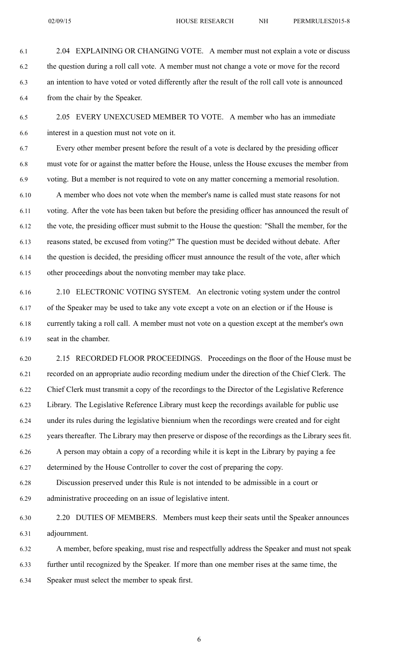6.1 2.04 EXPLAINING OR CHANGING VOTE. A member must not explain <sup>a</sup> vote or discuss 6.2 the question during <sup>a</sup> roll call vote. A member must not change <sup>a</sup> vote or move for the record 6.3 an intention to have voted or voted differently after the result of the roll call vote is announced 6.4 from the chair by the Speaker.

6.5 2.05 EVERY UNEXCUSED MEMBER TO VOTE. A member who has an immediate 6.6 interest in <sup>a</sup> question must not vote on it.

6.7 Every other member presen<sup>t</sup> before the result of <sup>a</sup> vote is declared by the presiding officer 6.8 must vote for or against the matter before the House, unless the House excuses the member from 6.9 voting. But <sup>a</sup> member is not required to vote on any matter concerning <sup>a</sup> memorial resolution.

6.10 A member who does not vote when the member's name is called must state reasons for not 6.11 voting. After the vote has been taken but before the presiding officer has announced the result of 6.12 the vote, the presiding officer must submit to the House the question: "Shall the member, for the 6.13 reasons stated, be excused from voting?" The question must be decided without debate. After 6.14 the question is decided, the presiding officer must announce the result of the vote, after which 6.15 other proceedings about the nonvoting member may take place.

6.16 2.10 ELECTRONIC VOTING SYSTEM. An electronic voting system under the control 6.17 of the Speaker may be used to take any vote excep<sup>t</sup> <sup>a</sup> vote on an election or if the House is 6.18 currently taking <sup>a</sup> roll call. A member must not vote on <sup>a</sup> question excep<sup>t</sup> at the member's own 6.19 seat in the chamber.

6.20 2.15 RECORDED FLOOR PROCEEDINGS. Proceedings on the floor of the House must be 6.21 recorded on an appropriate audio recording medium under the direction of the Chief Clerk. The 6.22 Chief Clerk must transmit <sup>a</sup> copy of the recordings to the Director of the Legislative Reference 6.23 Library. The Legislative Reference Library must keep the recordings available for public use 6.24 under its rules during the legislative biennium when the recordings were created and for eight 6.25 years thereafter. The Library may then preserve or dispose of the recordings as the Library sees fit. 6.26 A person may obtain <sup>a</sup> copy of <sup>a</sup> recording while it is kept in the Library by paying <sup>a</sup> fee 6.27 determined by the House Controller to cover the cost of preparing the copy.

6.28 Discussion preserved under this Rule is not intended to be admissible in <sup>a</sup> court or 6.29 administrative proceeding on an issue of legislative intent.

6.30 2.20 DUTIES OF MEMBERS. Members must keep their seats until the Speaker announces 6.31 adjournment.

6.32 A member, before speaking, must rise and respectfully address the Speaker and must not speak 6.33 further until recognized by the Speaker. If more than one member rises at the same time, the 6.34 Speaker must select the member to speak first.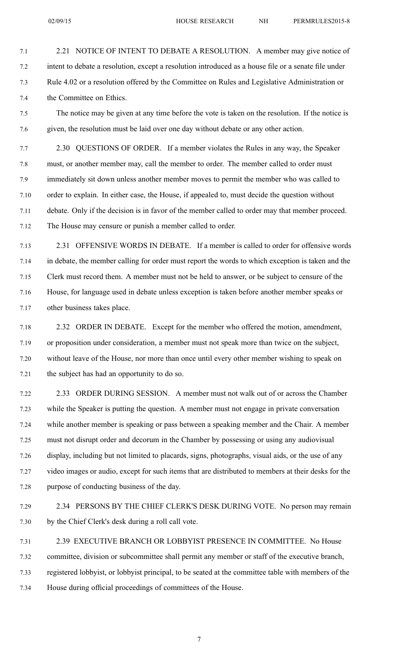7.1 2.21 NOTICE OF INTENT TO DEBATE A RESOLUTION. A member may give notice of 7.2 intent to debate <sup>a</sup> resolution, excep<sup>t</sup> <sup>a</sup> resolution introduced as <sup>a</sup> house file or <sup>a</sup> senate file under 7.3 Rule 4.02 or <sup>a</sup> resolution offered by the Committee on Rules and Legislative Administration or 7.4 the Committee on Ethics.

7.5 The notice may be given at any time before the vote is taken on the resolution. If the notice is 7.6 given, the resolution must be laid over one day without debate or any other action.

7.7 2.30 QUESTIONS OF ORDER. If <sup>a</sup> member violates the Rules in any way, the Speaker 7.8 must, or another member may, call the member to order. The member called to order must 7.9 immediately sit down unless another member moves to permit the member who was called to 7.10 order to explain. In either case, the House, if appealed to, must decide the question without 7.11 debate. Only if the decision is in favor of the member called to order may that member proceed. 7.12 The House may censure or punish <sup>a</sup> member called to order.

7.13 2.31 OFFENSIVE WORDS IN DEBATE. If <sup>a</sup> member is called to order for offensive words 7.14 in debate, the member calling for order must repor<sup>t</sup> the words to which exception is taken and the 7.15 Clerk must record them. A member must not be held to answer, or be subject to censure of the 7.16 House, for language used in debate unless exception is taken before another member speaks or 7.17 other business takes place.

7.18 2.32 ORDER IN DEBATE. Except for the member who offered the motion, amendment, 7.19 or proposition under consideration, <sup>a</sup> member must not speak more than twice on the subject, 7.20 without leave of the House, nor more than once until every other member wishing to speak on 7.21 the subject has had an opportunity to do so.

7.22 2.33 ORDER DURING SESSION. A member must not walk out of or across the Chamber 7.23 while the Speaker is putting the question. A member must not engage in private conversation 7.24 while another member is speaking or pass between <sup>a</sup> speaking member and the Chair. A member 7.25 must not disrupt order and decorum in the Chamber by possessing or using any audiovisual 7.26 display, including but not limited to placards, signs, photographs, visual aids, or the use of any 7.27 video images or audio, excep<sup>t</sup> for such items that are distributed to members at their desks for the 7.28 purpose of conducting business of the day.

7.29 2.34 PERSONS BY THE CHIEF CLERK'S DESK DURING VOTE. No person may remain 7.30 by the Chief Clerk's desk during <sup>a</sup> roll call vote.

7.31 2.39 EXECUTIVE BRANCH OR LOBBYIST PRESENCE IN COMMITTEE. No House 7.32 committee, division or subcommittee shall permit any member or staff of the executive branch, 7.33 registered lobbyist, or lobbyist principal, to be seated at the committee table with members of the 7.34 House during official proceedings of committees of the House.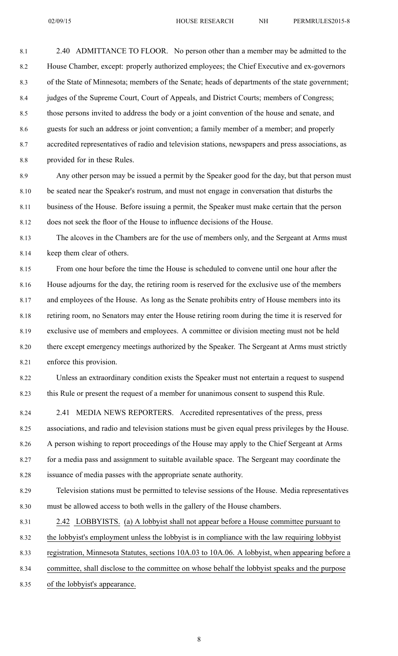8.1 2.40 ADMITTANCE TO FLOOR. No person other than <sup>a</sup> member may be admitted to the 8.2 House Chamber, except: properly authorized employees; the Chief Executive and ex-governors 8.3 of the State of Minnesota; members of the Senate; heads of departments of the state government; 8.4 judges of the Supreme Court, Court of Appeals, and District Courts; members of Congress; 8.5 those persons invited to address the body or <sup>a</sup> joint convention of the house and senate, and 8.6 guests for such an address or joint convention; <sup>a</sup> family member of <sup>a</sup> member; and properly 8.7 accredited representatives of radio and television stations, newspapers and press associations, as 8.8 provided for in these Rules. 8.9 Any other person may be issued <sup>a</sup> permit by the Speaker good for the day, but that person must 8.10 be seated near the Speaker's rostrum, and must not engage in conversation that disturbs the 8.11 business of the House. Before issuing <sup>a</sup> permit, the Speaker must make certain that the person 8.12 does not seek the floor of the House to influence decisions of the House. 8.13 The alcoves in the Chambers are for the use of members only, and the Sergeant at Arms must 8.14 keep them clear of others. 8.15 From one hour before the time the House is scheduled to convene until one hour after the 8.16 House adjourns for the day, the retiring room is reserved for the exclusive use of the members 8.17 and employees of the House. As long as the Senate prohibits entry of House members into its 8.18 retiring room, no Senators may enter the House retiring room during the time it is reserved for 8.19 exclusive use of members and employees. A committee or division meeting must not be held 8.20 there excep<sup>t</sup> emergency meetings authorized by the Speaker. The Sergeant at Arms must strictly 8.21 enforce this provision. 8.22 Unless an extraordinary condition exists the Speaker must not entertain <sup>a</sup> reques<sup>t</sup> to suspend 8.23 this Rule or presen<sup>t</sup> the reques<sup>t</sup> of <sup>a</sup> member for unanimous consent to suspend this Rule. 8.24 2.41 MEDIA NEWS REPORTERS. Accredited representatives of the press, press 8.25 associations, and radio and television stations must be given equal press privileges by the House. 8.26 A person wishing to repor<sup>t</sup> proceedings of the House may apply to the Chief Sergeant at Arms 8.27 for <sup>a</sup> media pass and assignment to suitable available space. The Sergeant may coordinate the 8.28 issuance of media passes with the appropriate senate authority. 8.29 Television stations must be permitted to televise sessions of the House. Media representatives 8.30 must be allowed access to both wells in the gallery of the House chambers.

8.31 2.42 LOBBYISTS. (a) A lobbyist shall not appear before <sup>a</sup> House committee pursuan<sup>t</sup> to 8.32 the lobbyist's employment unless the lobbyist is in compliance with the law requiring lobbyist 8.33 registration, Minnesota Statutes, sections 10A.03 to 10A.06. A lobbyist, when appearing before <sup>a</sup> 8.34 committee, shall disclose to the committee on whose behalf the lobbyist speaks and the purpose

8.35 of the lobbyist's appearance.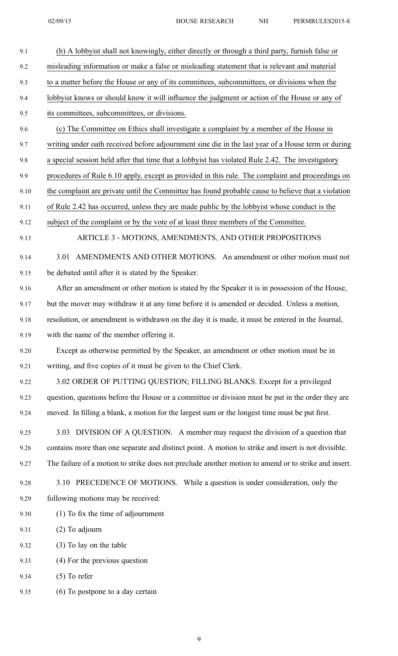| . . | 1 LIMBRO LLOZVIJ |
|-----|------------------|
|     |                  |
|     |                  |
|     |                  |

| 9.1  | (b) A lobbyist shall not knowingly, either directly or through a third party, furnish false or       |
|------|------------------------------------------------------------------------------------------------------|
| 9.2  | misleading information or make a false or misleading statement that is relevant and material         |
| 9.3  | to a matter before the House or any of its committees, subcommittees, or divisions when the          |
| 9.4  | lobbyist knows or should know it will influence the judgment or action of the House or any of        |
| 9.5  | its committees, subcommittees, or divisions.                                                         |
| 9.6  | (c) The Committee on Ethics shall investigate a complaint by a member of the House in                |
| 9.7  | writing under oath received before adjournment sine die in the last year of a House term or during   |
| 9.8  | a special session held after that time that a lobbyist has violated Rule 2.42. The investigatory     |
| 9.9  | procedures of Rule 6.10 apply, except as provided in this rule. The complaint and proceedings on     |
| 9.10 | the complaint are private until the Committee has found probable cause to believe that a violation   |
| 9.11 | of Rule 2.42 has occurred, unless they are made public by the lobby ist whose conduct is the         |
| 9.12 | subject of the complaint or by the vote of at least three members of the Committee.                  |
| 9.13 | ARTICLE 3 - MOTIONS, AMENDMENTS, AND OTHER PROPOSITIONS                                              |
| 9.14 | AMENDMENTS AND OTHER MOTIONS. An amendment or other motion must not<br>3.01                          |
| 9.15 | be debated until after it is stated by the Speaker.                                                  |
| 9.16 | After an amendment or other motion is stated by the Speaker it is in possession of the House,        |
| 9.17 | but the mover may withdraw it at any time before it is amended or decided. Unless a motion,          |
| 9.18 | resolution, or amendment is withdrawn on the day it is made, it must be entered in the Journal,      |
| 9.19 | with the name of the member offering it.                                                             |
| 9.20 | Except as otherwise permitted by the Speaker, an amendment or other motion must be in                |
| 9.21 | writing, and five copies of it must be given to the Chief Clerk.                                     |
| 9.22 | 3.02 ORDER OF PUTTING QUESTION; FILLING BLANKS. Except for a privileged                              |
| 9.23 | question, questions before the House or a committee or division must be put in the order they are    |
| 9.24 | moved. In filling a blank, a motion for the largest sum or the longest time must be put first.       |
| 9.25 | 3.03 DIVISION OF A QUESTION. A member may request the division of a question that                    |
| 9.26 | contains more than one separate and distinct point. A motion to strike and insert is not divisible.  |
| 9.27 | The failure of a motion to strike does not preclude another motion to amend or to strike and insert. |
| 9.28 | PRECEDENCE OF MOTIONS. While a question is under consideration, only the<br>3.10                     |
| 9.29 | following motions may be received:                                                                   |
| 9.30 | $(1)$ To fix the time of adjournment                                                                 |
| 9.31 | $(2)$ To adjourn                                                                                     |
| 9.32 | (3) To lay on the table                                                                              |
| 9.33 | (4) For the previous question                                                                        |
| 9.34 | $(5)$ To refer                                                                                       |
| 9.35 | (6) To postpone to a day certain                                                                     |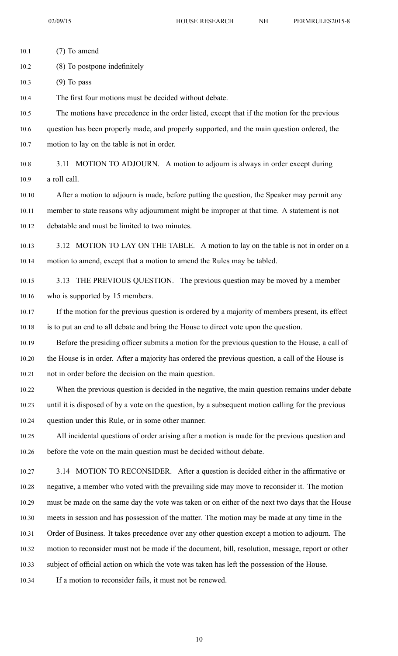10.1 (7) To amend 10.2 (8) To postpone indefinitely 10.3 (9) To pass 10.4 The first four motions must be decided without debate. 10.5 The motions have precedence in the order listed, excep<sup>t</sup> that if the motion for the previous 10.6 question has been properly made, and properly supported, and the main question ordered, the 10.7 motion to lay on the table is not in order. 10.8 3.11 MOTION TO ADJOURN. A motion to adjourn is always in order excep<sup>t</sup> during 10.9 <sup>a</sup> roll call. 10.10 After <sup>a</sup> motion to adjourn is made, before putting the question, the Speaker may permit any 10.11 member to state reasons why adjournment might be improper at that time. A statement is not 10.12 debatable and must be limited to two minutes. 10.13 3.12 MOTION TO LAY ON THE TABLE. A motion to lay on the table is not in order on a 10.14 motion to amend, excep<sup>t</sup> that <sup>a</sup> motion to amend the Rules may be tabled. 10.15 3.13 THE PREVIOUS QUESTION. The previous question may be moved by <sup>a</sup> member 10.16 who is supported by 15 members. 10.17 If the motion for the previous question is ordered by <sup>a</sup> majority of members present, its effect 10.18 is to pu<sup>t</sup> an end to all debate and bring the House to direct vote upon the question. 10.19 Before the presiding officer submits <sup>a</sup> motion for the previous question to the House, <sup>a</sup> call of 10.20 the House is in order. After <sup>a</sup> majority has ordered the previous question, <sup>a</sup> call of the House is 10.21 not in order before the decision on the main question. 10.22 When the previous question is decided in the negative, the main question remains under debate 10.23 until it is disposed of by <sup>a</sup> vote on the question, by <sup>a</sup> subsequent motion calling for the previous 10.24 question under this Rule, or in some other manner. 10.25 All incidental questions of order arising after <sup>a</sup> motion is made for the previous question and 10.26 before the vote on the main question must be decided without debate. 10.27 3.14 MOTION TO RECONSIDER. After <sup>a</sup> question is decided either in the affirmative or 10.28 negative, <sup>a</sup> member who voted with the prevailing side may move to reconsider it. The motion 10.29 must be made on the same day the vote was taken or on either of the next two days that the House 10.30 meets in session and has possession of the matter. The motion may be made at any time in the 10.31 Order of Business. It takes precedence over any other question excep<sup>t</sup> <sup>a</sup> motion to adjourn. The 10.32 motion to reconsider must not be made if the document, bill, resolution, message, repor<sup>t</sup> or other 10.33 subject of official action on which the vote was taken has left the possession of the House. 10.34 If <sup>a</sup> motion to reconsider fails, it must not be renewed.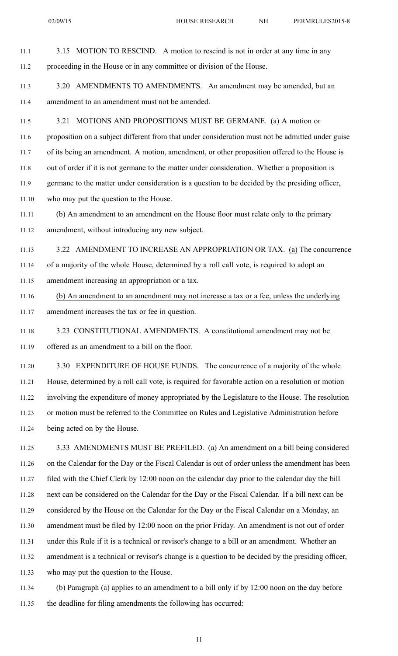11.1 3.15 MOTION TO RESCIND. A motion to rescind is not in order at any time in any 11.2 proceeding in the House or in any committee or division of the House. 11.3 3.20 AMENDMENTS TO AMENDMENTS. An amendment may be amended, but an 11.4 amendment to an amendment must not be amended. 11.5 3.21 MOTIONS AND PROPOSITIONS MUST BE GERMANE. (a) A motion or 11.6 proposition on <sup>a</sup> subject different from that under consideration must not be admitted under guise 11.7 of its being an amendment. A motion, amendment, or other proposition offered to the House is 11.8 out of order if it is not germane to the matter under consideration. Whether <sup>a</sup> proposition is 11.9 germane to the matter under consideration is <sup>a</sup> question to be decided by the presiding officer, 11.10 who may pu<sup>t</sup> the question to the House. 11.11 (b) An amendment to an amendment on the House floor must relate only to the primary 11.12 amendment, without introducing any new subject. 11.13 3.22 AMENDMENT TO INCREASE AN APPROPRIATION OR TAX. (a) The concurrence 11.14 of <sup>a</sup> majority of the whole House, determined by <sup>a</sup> roll call vote, is required to adopt an 11.15 amendment increasing an appropriation or <sup>a</sup> tax. 11.16 (b) An amendment to an amendment may not increase <sup>a</sup> tax or <sup>a</sup> fee, unless the underlying 11.17 amendment increases the tax or fee in question. 11.18 3.23 CONSTITUTIONAL AMENDMENTS. A constitutional amendment may not be 11.19 offered as an amendment to <sup>a</sup> bill on the floor. 11.20 3.30 EXPENDITURE OF HOUSE FUNDS. The concurrence of <sup>a</sup> majority of the whole 11.21 House, determined by <sup>a</sup> roll call vote, is required for favorable action on <sup>a</sup> resolution or motion 11.22 involving the expenditure of money appropriated by the Legislature to the House. The resolution 11.23 or motion must be referred to the Committee on Rules and Legislative Administration before 11.24 being acted on by the House.

11.25 3.33 AMENDMENTS MUST BE PREFILED. (a) An amendment on <sup>a</sup> bill being considered 11.26 on the Calendar for the Day or the Fiscal Calendar is out of order unless the amendment has been 11.27 filed with the Chief Clerk by 12:00 noon on the calendar day prior to the calendar day the bill 11.28 next can be considered on the Calendar for the Day or the Fiscal Calendar. If <sup>a</sup> bill next can be 11.29 considered by the House on the Calendar for the Day or the Fiscal Calendar on <sup>a</sup> Monday, an 11.30 amendment must be filed by 12:00 noon on the prior Friday. An amendment is not out of order 11.31 under this Rule if it is <sup>a</sup> technical or revisor's change to <sup>a</sup> bill or an amendment. Whether an 11.32 amendment is <sup>a</sup> technical or revisor's change is <sup>a</sup> question to be decided by the presiding officer, 11.33 who may pu<sup>t</sup> the question to the House.

11.34 (b) Paragraph (a) applies to an amendment to <sup>a</sup> bill only if by 12:00 noon on the day before 11.35 the deadline for filing amendments the following has occurred: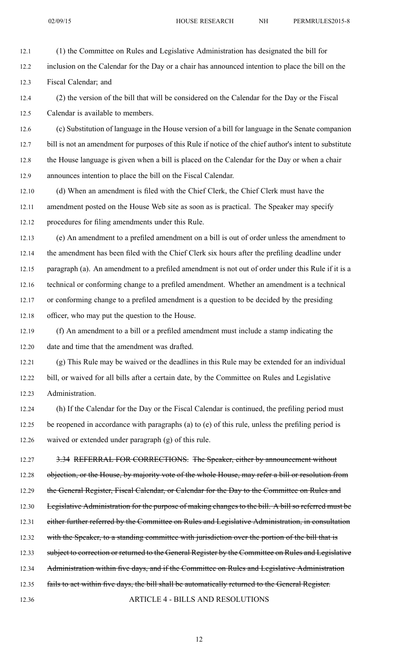12.1 (1) the Committee on Rules and Legislative Administration has designated the bill for

12.2 inclusion on the Calendar for the Day or <sup>a</sup> chair has announced intention to place the bill on the 12.3 Fiscal Calendar; and

12.4 (2) the version of the bill that will be considered on the Calendar for the Day or the Fiscal 12.5 Calendar is available to members.

12.6 (c) Substitution of language in the House version of <sup>a</sup> bill for language in the Senate companion 12.7 bill is not an amendment for purposes of this Rule if notice of the chief author's intent to substitute 12.8 the House language is given when <sup>a</sup> bill is placed on the Calendar for the Day or when <sup>a</sup> chair 12.9 announces intention to place the bill on the Fiscal Calendar.

12.10 (d) When an amendment is filed with the Chief Clerk, the Chief Clerk must have the 12.11 amendment posted on the House Web site as soon as is practical. The Speaker may specify 12.12 procedures for filing amendments under this Rule.

12.13 (e) An amendment to <sup>a</sup> prefiled amendment on <sup>a</sup> bill is out of order unless the amendment to 12.14 the amendment has been filed with the Chief Clerk six hours after the prefiling deadline under 12.15 paragraph (a). An amendment to <sup>a</sup> prefiled amendment is not out of order under this Rule if it is <sup>a</sup> 12.16 technical or conforming change to <sup>a</sup> prefiled amendment. Whether an amendment is <sup>a</sup> technical 12.17 or conforming change to <sup>a</sup> prefiled amendment is <sup>a</sup> question to be decided by the presiding 12.18 officer, who may pu<sup>t</sup> the question to the House.

12.19 (f) An amendment to <sup>a</sup> bill or <sup>a</sup> prefiled amendment must include <sup>a</sup> stamp indicating the 12.20 date and time that the amendment was drafted.

12.21 (g) This Rule may be waived or the deadlines in this Rule may be extended for an individual 12.22 bill, or waived for all bills after <sup>a</sup> certain date, by the Committee on Rules and Legislative 12.23 Administration.

12.24 (h) If the Calendar for the Day or the Fiscal Calendar is continued, the prefiling period must 12.25 be reopened in accordance with paragraphs (a) to (e) of this rule, unless the prefiling period is 12.26 waived or extended under paragraph (g) of this rule.

12.27 3.34 REFERRAL FOR CORRECTIONS. The Speaker, either by announcement without 12.28 objection, or the House, by majority vote of the whole House, may refer a bill or resolution from 12.29 the General Register, Fiscal Calendar, or Calendar for the Day to the Committee on Rules and 12.30 Legislative Administration for the purpose of making changes to the bill. A bill so referred must be 12.31 either further referred by the Committee on Rules and Legislative Administration, in consultation 12.32 with the Speaker, to a standing committee with jurisdiction over the portion of the bill that is 12.33 subject to correction or returned to the General Register by the Committee on Rules and Legislative 12.34 Administration within five days, and if the Committee on Rules and Legislative Administration 12.35 fails to act within five days, the bill shall be automatically returned to the General Register. 12.36 ARTICLE 4 - BILLS AND RESOLUTIONS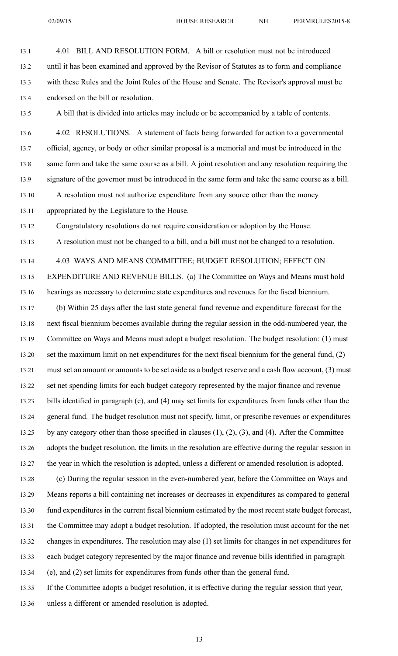13.1 4.01 BILL AND RESOLUTION FORM. A bill or resolution must not be introduced

13.2 until it has been examined and approved by the Revisor of Statutes as to form and compliance

13.3 with these Rules and the Joint Rules of the House and Senate. The Revisor's approval must be 13.4 endorsed on the bill or resolution. 13.5 A bill that is divided into articles may include or be accompanied by <sup>a</sup> table of contents. 13.6 4.02 RESOLUTIONS. A statement of facts being forwarded for action to <sup>a</sup> governmental 13.7 official, agency, or body or other similar proposal is <sup>a</sup> memorial and must be introduced in the 13.8 same form and take the same course as <sup>a</sup> bill. A joint resolution and any resolution requiring the 13.9 signature of the governor must be introduced in the same form and take the same course as <sup>a</sup> bill. 13.10 A resolution must not authorize expenditure from any source other than the money 13.11 appropriated by the Legislature to the House. 13.12 Congratulatory resolutions do not require consideration or adoption by the House. 13.13 A resolution must not be changed to <sup>a</sup> bill, and <sup>a</sup> bill must not be changed to <sup>a</sup> resolution. 13.14 4.03 WAYS AND MEANS COMMITTEE; BUDGET RESOLUTION; EFFECT ON 13.15 EXPENDITURE AND REVENUE BILLS. (a) The Committee on Ways and Means must hold 13.16 hearings as necessary to determine state expenditures and revenues for the fiscal biennium. 13.17 (b) Within 25 days after the last state general fund revenue and expenditure forecast for the 13.18 next fiscal biennium becomes available during the regular session in the odd-numbered year, the 13.19 Committee on Ways and Means must adopt <sup>a</sup> budget resolution. The budget resolution: (1) must 13.20 set the maximum limit on net expenditures for the next fiscal biennium for the general fund, (2) 13.21 must set an amount or amounts to be set aside as <sup>a</sup> budget reserve and <sup>a</sup> cash flow account, (3) must 13.22 set net spending limits for each budget category represented by the major finance and revenue 13.23 bills identified in paragraph (e), and (4) may set limits for expenditures from funds other than the 13.24 general fund. The budget resolution must not specify, limit, or prescribe revenues or expenditures 13.25 by any category other than those specified in clauses (1), (2), (3), and (4). After the Committee 13.26 adopts the budget resolution, the limits in the resolution are effective during the regular session in 13.27 the year in which the resolution is adopted, unless <sup>a</sup> different or amended resolution is adopted. 13.28 (c) During the regular session in the even-numbered year, before the Committee on Ways and 13.29 Means reports <sup>a</sup> bill containing net increases or decreases in expenditures as compared to general 13.30 fund expenditures in the current fiscal biennium estimated by the most recent state budget forecast, 13.31 the Committee may adopt <sup>a</sup> budget resolution. If adopted, the resolution must account for the net 13.32 changes in expenditures. The resolution may also (1) set limits for changes in net expenditures for 13.33 each budget category represented by the major finance and revenue bills identified in paragraph 13.34 (e), and (2) set limits for expenditures from funds other than the general fund. 13.35 If the Committee adopts <sup>a</sup> budget resolution, it is effective during the regular session that year, 13.36 unless <sup>a</sup> different or amended resolution is adopted.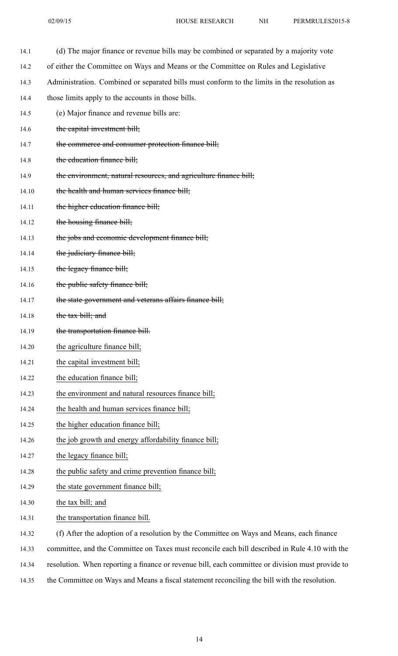| 14.1  | (d) The major finance or revenue bills may be combined or separated by a majority vote           |
|-------|--------------------------------------------------------------------------------------------------|
| 14.2  | of either the Committee on Ways and Means or the Committee on Rules and Legislative              |
| 14.3  | Administration. Combined or separated bills must conform to the limits in the resolution as      |
| 14.4  | those limits apply to the accounts in those bills.                                               |
| 14.5  | (e) Major finance and revenue bills are:                                                         |
| 14.6  | the capital investment bill;                                                                     |
| 14.7  | the commerce and consumer protection finance bill;                                               |
| 14.8  | the education finance bill;                                                                      |
| 14.9  | the environment, natural resources, and agriculture finance bill;                                |
| 14.10 | the health and human services finance bill;                                                      |
| 14.11 | the higher education finance bill;                                                               |
| 14.12 | the housing finance bill;                                                                        |
| 14.13 | the jobs and economic development finance bill;                                                  |
| 14.14 | the judiciary finance bill;                                                                      |
| 14.15 | the legacy finance bill;                                                                         |
| 14.16 | the public safety finance bill;                                                                  |
| 14.17 | the state government and veterans affairs finance bill;                                          |
| 14.18 | the tax bill; and                                                                                |
| 14.19 | the transportation finance bill.                                                                 |
| 14.20 | the agriculture finance bill;                                                                    |
| 14.21 | the capital investment bill;                                                                     |
| 14.22 | the education finance bill;                                                                      |
| 14.23 | the environment and natural resources finance bill;                                              |
| 14.24 | the health and human services finance bill;                                                      |
| 14.25 | the higher education finance bill;                                                               |
| 14.26 | the job growth and energy affordability finance bill;                                            |
| 14.27 | the legacy finance bill;                                                                         |
| 14.28 | the public safety and crime prevention finance bill;                                             |
| 14.29 | the state government finance bill;                                                               |
| 14.30 | the tax bill; and                                                                                |
| 14.31 | the transportation finance bill.                                                                 |
| 14.32 | (f) After the adoption of a resolution by the Committee on Ways and Means, each finance          |
| 14.33 | committee, and the Committee on Taxes must reconcile each bill described in Rule 4.10 with the   |
| 14.34 | resolution. When reporting a finance or revenue bill, each committee or division must provide to |

14.35 the Committee on Ways and Means <sup>a</sup> fiscal statement reconciling the bill with the resolution.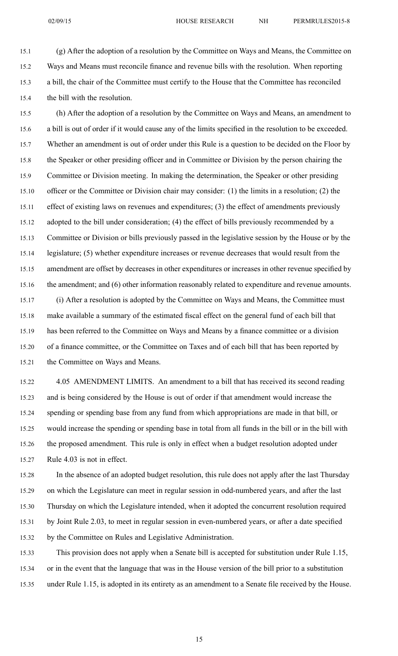15.1 (g) After the adoption of <sup>a</sup> resolution by the Committee on Ways and Means, the Committee on 15.2 Ways and Means must reconcile finance and revenue bills with the resolution. When reporting 15.3 <sup>a</sup> bill, the chair of the Committee must certify to the House that the Committee has reconciled 15.4 the bill with the resolution.

15.5 (h) After the adoption of <sup>a</sup> resolution by the Committee on Ways and Means, an amendment to 15.6 <sup>a</sup> bill is out of order if it would cause any of the limits specified in the resolution to be exceeded. 15.7 Whether an amendment is out of order under this Rule is <sup>a</sup> question to be decided on the Floor by 15.8 the Speaker or other presiding officer and in Committee or Division by the person chairing the 15.9 Committee or Division meeting. In making the determination, the Speaker or other presiding 15.10 officer or the Committee or Division chair may consider: (1) the limits in <sup>a</sup> resolution; (2) the 15.11 effect of existing laws on revenues and expenditures; (3) the effect of amendments previously 15.12 adopted to the bill under consideration; (4) the effect of bills previously recommended by <sup>a</sup> 15.13 Committee or Division or bills previously passed in the legislative session by the House or by the 15.14 legislature; (5) whether expenditure increases or revenue decreases that would result from the 15.15 amendment are offset by decreases in other expenditures or increases in other revenue specified by 15.16 the amendment; and (6) other information reasonably related to expenditure and revenue amounts. 15.17 (i) After <sup>a</sup> resolution is adopted by the Committee on Ways and Means, the Committee must

15.18 make available <sup>a</sup> summary of the estimated fiscal effect on the general fund of each bill that 15.19 has been referred to the Committee on Ways and Means by <sup>a</sup> finance committee or <sup>a</sup> division 15.20 of <sup>a</sup> finance committee, or the Committee on Taxes and of each bill that has been reported by 15.21 the Committee on Ways and Means.

15.22 4.05 AMENDMENT LIMITS. An amendment to <sup>a</sup> bill that has received its second reading 15.23 and is being considered by the House is out of order if that amendment would increase the 15.24 spending or spending base from any fund from which appropriations are made in that bill, or 15.25 would increase the spending or spending base in total from all funds in the bill or in the bill with 15.26 the proposed amendment. This rule is only in effect when <sup>a</sup> budget resolution adopted under 15.27 Rule 4.03 is not in effect.

15.28 In the absence of an adopted budget resolution, this rule does not apply after the last Thursday 15.29 on which the Legislature can meet in regular session in odd-numbered years, and after the last 15.30 Thursday on which the Legislature intended, when it adopted the concurrent resolution required 15.31 by Joint Rule 2.03, to meet in regular session in even-numbered years, or after <sup>a</sup> date specified 15.32 by the Committee on Rules and Legislative Administration.

15.33 This provision does not apply when <sup>a</sup> Senate bill is accepted for substitution under Rule 1.15, 15.34 or in the event that the language that was in the House version of the bill prior to <sup>a</sup> substitution 15.35 under Rule 1.15, is adopted in its entirety as an amendment to <sup>a</sup> Senate file received by the House.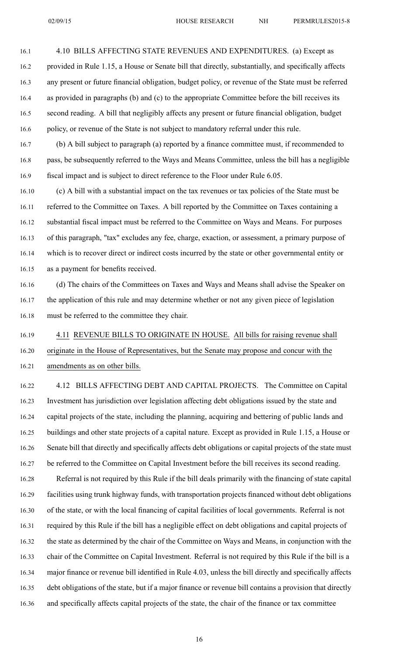16.1 4.10 BILLS AFFECTING STATE REVENUES AND EXPENDITURES. (a) Except as 16.2 provided in Rule 1.15, <sup>a</sup> House or Senate bill that directly, substantially, and specifically affects 16.3 any presen<sup>t</sup> or future financial obligation, budget policy, or revenue of the State must be referred 16.4 as provided in paragraphs (b) and (c) to the appropriate Committee before the bill receives its 16.5 second reading. A bill that negligibly affects any presen<sup>t</sup> or future financial obligation, budget 16.6 policy, or revenue of the State is not subject to mandatory referral under this rule.

16.7 (b) A bill subject to paragraph (a) reported by <sup>a</sup> finance committee must, if recommended to 16.8 pass, be subsequently referred to the Ways and Means Committee, unless the bill has <sup>a</sup> negligible 16.9 fiscal impact and is subject to direct reference to the Floor under Rule 6.05.

16.10 (c) A bill with <sup>a</sup> substantial impact on the tax revenues or tax policies of the State must be 16.11 referred to the Committee on Taxes. A bill reported by the Committee on Taxes containing <sup>a</sup> 16.12 substantial fiscal impact must be referred to the Committee on Ways and Means. For purposes 16.13 of this paragraph, "tax" excludes any fee, charge, exaction, or assessment, <sup>a</sup> primary purpose of 16.14 which is to recover direct or indirect costs incurred by the state or other governmental entity or 16.15 as <sup>a</sup> paymen<sup>t</sup> for benefits received.

16.16 (d) The chairs of the Committees on Taxes and Ways and Means shall advise the Speaker on 16.17 the application of this rule and may determine whether or not any given piece of legislation 16.18 must be referred to the committee they chair.

16.19 4.11 REVENUE BILLS TO ORIGINATE IN HOUSE. All bills for raising revenue shall 16.20 originate in the House of Representatives, but the Senate may propose and concur with the 16.21 amendments as on other bills.

16.22 4.12 BILLS AFFECTING DEBT AND CAPITAL PROJECTS. The Committee on Capital 16.23 Investment has jurisdiction over legislation affecting debt obligations issued by the state and 16.24 capital projects of the state, including the planning, acquiring and bettering of public lands and 16.25 buildings and other state projects of <sup>a</sup> capital nature. Except as provided in Rule 1.15, <sup>a</sup> House or 16.26 Senate bill that directly and specifically affects debt obligations or capital projects of the state must 16.27 be referred to the Committee on Capital Investment before the bill receives its second reading.

16.28 Referral is not required by this Rule if the bill deals primarily with the financing of state capital 16.29 facilities using trunk highway funds, with transportation projects financed without debt obligations 16.30 of the state, or with the local financing of capital facilities of local governments. Referral is not 16.31 required by this Rule if the bill has <sup>a</sup> negligible effect on debt obligations and capital projects of 16.32 the state as determined by the chair of the Committee on Ways and Means, in conjunction with the 16.33 chair of the Committee on Capital Investment. Referral is not required by this Rule if the bill is <sup>a</sup> 16.34 major finance or revenue bill identified in Rule 4.03, unless the bill directly and specifically affects 16.35 debt obligations of the state, but if <sup>a</sup> major finance or revenue bill contains <sup>a</sup> provision that directly 16.36 and specifically affects capital projects of the state, the chair of the finance or tax committee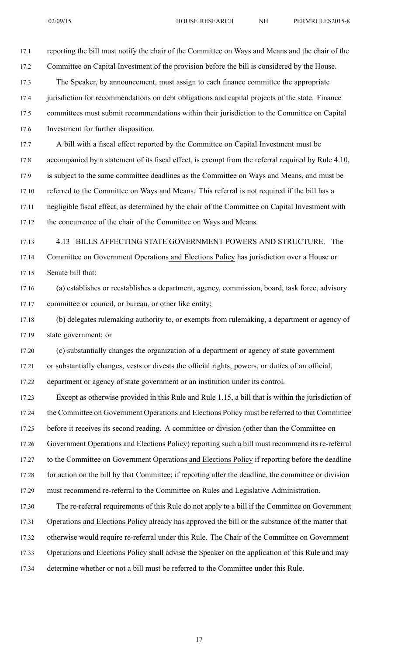17.1 reporting the bill must notify the chair of the Committee on Ways and Means and the chair of the 17.2 Committee on Capital Investment of the provision before the bill is considered by the House. 17.3 The Speaker, by announcement, must assign to each finance committee the appropriate 17.4 jurisdiction for recommendations on debt obligations and capital projects of the state. Finance 17.5 committees must submit recommendations within their jurisdiction to the Committee on Capital 17.6 Investment for further disposition. 17.7 A bill with <sup>a</sup> fiscal effect reported by the Committee on Capital Investment must be 17.8 accompanied by <sup>a</sup> statement of its fiscal effect, is exemp<sup>t</sup> from the referral required by Rule 4.10, 17.9 is subject to the same committee deadlines as the Committee on Ways and Means, and must be 17.10 referred to the Committee on Ways and Means. This referral is not required if the bill has <sup>a</sup> 17.11 negligible fiscal effect, as determined by the chair of the Committee on Capital Investment with 17.12 the concurrence of the chair of the Committee on Ways and Means. 17.13 4.13 BILLS AFFECTING STATE GOVERNMENT POWERS AND STRUCTURE. The 17.14 Committee on Government Operations and Elections Policy has jurisdiction over <sup>a</sup> House or 17.15 Senate bill that: 17.16 (a) establishes or reestablishes <sup>a</sup> department, agency, commission, board, task force, advisory 17.17 committee or council, or bureau, or other like entity; 17.18 (b) delegates rulemaking authority to, or exempts from rulemaking, <sup>a</sup> department or agency of 17.19 state government; or 17.20 (c) substantially changes the organization of <sup>a</sup> department or agency of state governmen<sup>t</sup> 17.21 or substantially changes, vests or divests the official rights, powers, or duties of an official, 17.22 department or agency of state governmen<sup>t</sup> or an institution under its control. 17.23 Except as otherwise provided in this Rule and Rule 1.15, <sup>a</sup> bill that is within the jurisdiction of 17.24 the Committee on Government Operations and Elections Policy must be referred to that Committee 17.25 before it receives its second reading. A committee or division (other than the Committee on 17.26 Government Operations and Elections Policy) reporting such <sup>a</sup> bill must recommend its re-referral 17.27 to the Committee on Government Operations and Elections Policy if reporting before the deadline 17.28 for action on the bill by that Committee; if reporting after the deadline, the committee or division 17.29 must recommend re-referral to the Committee on Rules and Legislative Administration. 17.30 The re-referral requirements of this Rule do not apply to <sup>a</sup> bill if the Committee on Government 17.31 Operations and Elections Policy already has approved the bill or the substance of the matter that 17.32 otherwise would require re-referral under this Rule. The Chair of the Committee on Government 17.33 Operations and Elections Policy shall advise the Speaker on the application of this Rule and may

17.34 determine whether or not <sup>a</sup> bill must be referred to the Committee under this Rule.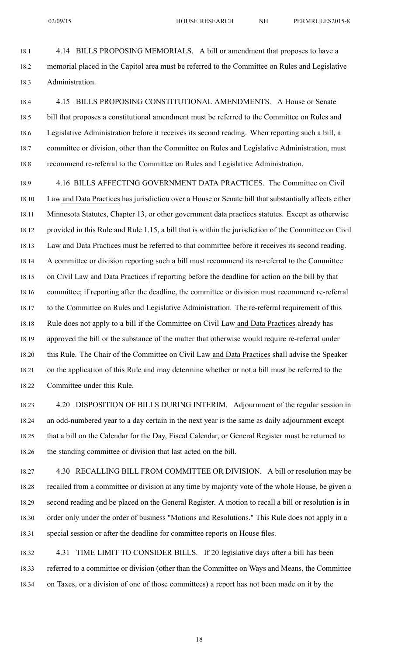18.1 4.14 BILLS PROPOSING MEMORIALS. A bill or amendment that proposes to have <sup>a</sup> 18.2 memorial placed in the Capitol area must be referred to the Committee on Rules and Legislative 18.3 Administration.

18.4 4.15 BILLS PROPOSING CONSTITUTIONAL AMENDMENTS. A House or Senate 18.5 bill that proposes <sup>a</sup> constitutional amendment must be referred to the Committee on Rules and 18.6 Legislative Administration before it receives its second reading. When reporting such <sup>a</sup> bill, <sup>a</sup> 18.7 committee or division, other than the Committee on Rules and Legislative Administration, must 18.8 recommend re-referral to the Committee on Rules and Legislative Administration.

18.9 4.16 BILLS AFFECTING GOVERNMENT DATA PRACTICES. The Committee on Civil 18.10 Law and Data Practices has jurisdiction over <sup>a</sup> House or Senate bill that substantially affects either 18.11 Minnesota Statutes, Chapter 13, or other governmen<sup>t</sup> data practices statutes. Except as otherwise 18.12 provided in this Rule and Rule 1.15, <sup>a</sup> bill that is within the jurisdiction of the Committee on Civil 18.13 Law and Data Practices must be referred to that committee before it receives its second reading. 18.14 A committee or division reporting such <sup>a</sup> bill must recommend its re-referral to the Committee 18.15 on Civil Law and Data Practices if reporting before the deadline for action on the bill by that 18.16 committee; if reporting after the deadline, the committee or division must recommend re-referral 18.17 to the Committee on Rules and Legislative Administration. The re-referral requirement of this 18.18 Rule does not apply to <sup>a</sup> bill if the Committee on Civil Law and Data Practices already has 18.19 approved the bill or the substance of the matter that otherwise would require re-referral under 18.20 this Rule. The Chair of the Committee on Civil Law and Data Practices shall advise the Speaker 18.21 on the application of this Rule and may determine whether or not <sup>a</sup> bill must be referred to the 18.22 Committee under this Rule.

18.23 4.20 DISPOSITION OF BILLS DURING INTERIM. Adjournment of the regular session in 18.24 an odd-numbered year to <sup>a</sup> day certain in the next year is the same as daily adjournment excep<sup>t</sup> 18.25 that <sup>a</sup> bill on the Calendar for the Day, Fiscal Calendar, or General Register must be returned to 18.26 the standing committee or division that last acted on the bill.

18.27 4.30 RECALLING BILL FROM COMMITTEE OR DIVISION. A bill or resolution may be 18.28 recalled from <sup>a</sup> committee or division at any time by majority vote of the whole House, be given <sup>a</sup> 18.29 second reading and be placed on the General Register. A motion to recall <sup>a</sup> bill or resolution is in 18.30 order only under the order of business "Motions and Resolutions." This Rule does not apply in <sup>a</sup> 18.31 special session or after the deadline for committee reports on House files.

18.32 4.31 TIME LIMIT TO CONSIDER BILLS. If 20 legislative days after <sup>a</sup> bill has been 18.33 referred to <sup>a</sup> committee or division (other than the Committee on Ways and Means, the Committee 18.34 on Taxes, or <sup>a</sup> division of one of those committees) <sup>a</sup> repor<sup>t</sup> has not been made on it by the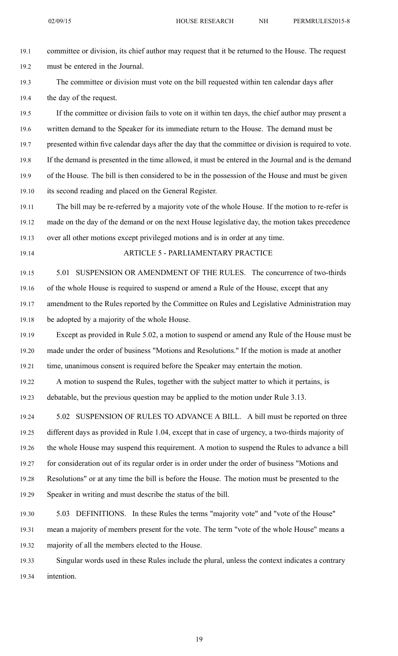19.1 committee or division, its chief author may reques<sup>t</sup> that it be returned to the House. The reques<sup>t</sup> 19.2 must be entered in the Journal.

19.3 The committee or division must vote on the bill requested within ten calendar days after 19.4 the day of the request.

19.5 If the committee or division fails to vote on it within ten days, the chief author may presen<sup>t</sup> <sup>a</sup> 19.6 written demand to the Speaker for its immediate return to the House. The demand must be 19.7 presented within five calendar days after the day that the committee or division is required to vote. 19.8 If the demand is presented in the time allowed, it must be entered in the Journal and is the demand 19.9 of the House. The bill is then considered to be in the possession of the House and must be given 19.10 its second reading and placed on the General Register.

19.11 The bill may be re-referred by <sup>a</sup> majority vote of the whole House. If the motion to re-refer is 19.12 made on the day of the demand or on the next House legislative day, the motion takes precedence 19.13 over all other motions excep<sup>t</sup> privileged motions and is in order at any time.

## 19.14 ARTICLE 5 - PARLIAMENTARY PRACTICE

19.15 5.01 SUSPENSION OR AMENDMENT OF THE RULES. The concurrence of two-thirds 19.16 of the whole House is required to suspend or amend <sup>a</sup> Rule of the House, excep<sup>t</sup> that any 19.17 amendment to the Rules reported by the Committee on Rules and Legislative Administration may 19.18 be adopted by <sup>a</sup> majority of the whole House.

19.19 Except as provided in Rule 5.02, <sup>a</sup> motion to suspend or amend any Rule of the House must be 19.20 made under the order of business "Motions and Resolutions." If the motion is made at another 19.21 time, unanimous consent is required before the Speaker may entertain the motion.

19.22 A motion to suspend the Rules, together with the subject matter to which it pertains, is 19.23 debatable, but the previous question may be applied to the motion under Rule 3.13.

19.24 5.02 SUSPENSION OF RULES TO ADVANCE A BILL. A bill must be reported on three 19.25 different days as provided in Rule 1.04, excep<sup>t</sup> that in case of urgency, <sup>a</sup> two-thirds majority of 19.26 the whole House may suspend this requirement. A motion to suspend the Rules to advance <sup>a</sup> bill 19.27 for consideration out of its regular order is in order under the order of business "Motions and 19.28 Resolutions" or at any time the bill is before the House. The motion must be presented to the 19.29 Speaker in writing and must describe the status of the bill.

19.30 5.03 DEFINITIONS. In these Rules the terms "majority vote" and "vote of the House" 19.31 mean <sup>a</sup> majority of members presen<sup>t</sup> for the vote. The term "vote of the whole House" means <sup>a</sup> 19.32 majority of all the members elected to the House.

19.33 Singular words used in these Rules include the plural, unless the context indicates <sup>a</sup> contrary 19.34 intention.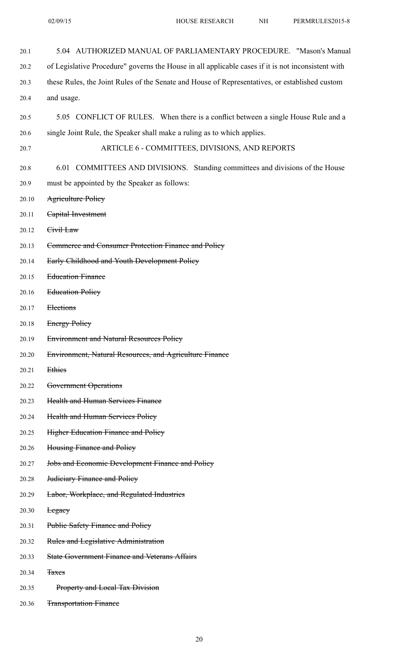| 20.1  | 5.04 AUTHORIZED MANUAL OF PARLIAMENTARY PROCEDURE. "Mason's Manual                                 |
|-------|----------------------------------------------------------------------------------------------------|
| 20.2  | of Legislative Procedure" governs the House in all applicable cases if it is not inconsistent with |
| 20.3  | these Rules, the Joint Rules of the Senate and House of Representatives, or established custom     |
| 20.4  | and usage.                                                                                         |
| 20.5  | 5.05 CONFLICT OF RULES. When there is a conflict between a single House Rule and a                 |
| 20.6  | single Joint Rule, the Speaker shall make a ruling as to which applies.                            |
| 20.7  | ARTICLE 6 - COMMITTEES, DIVISIONS, AND REPORTS                                                     |
| 20.8  | 6.01 COMMITTEES AND DIVISIONS. Standing committees and divisions of the House                      |
| 20.9  | must be appointed by the Speaker as follows:                                                       |
| 20.10 | <b>Agriculture Policy</b>                                                                          |
| 20.11 | Capital Investment                                                                                 |
| 20.12 | Civil Law                                                                                          |
| 20.13 | Commerce and Consumer Protection Finance and Policy                                                |
| 20.14 | Early Childhood and Youth Development Policy                                                       |
| 20.15 | <b>Education Finance</b>                                                                           |
| 20.16 | <b>Education Policy</b>                                                                            |
| 20.17 | Elections                                                                                          |
| 20.18 | <b>Energy Policy</b>                                                                               |
| 20.19 | <b>Environment and Natural Resources Policy</b>                                                    |
| 20.20 | Environment, Natural Resources, and Agriculture Finance                                            |
| 20.21 | Ethies                                                                                             |
| 20.22 | Government Operations                                                                              |
| 20.23 | <b>Health and Human Services Finance</b>                                                           |
| 20.24 | <b>Health and Human Services Policy</b>                                                            |
| 20.25 | <b>Higher Education Finance and Policy</b>                                                         |
| 20.26 | Housing Finance and Policy                                                                         |
| 20.27 | <b>Jobs and Economic Development Finance and Policy</b>                                            |
| 20.28 | <b>Judiciary Finance and Policy</b>                                                                |
| 20.29 | Labor, Workplace, and Regulated Industries                                                         |
| 20.30 | <b>Legacy</b>                                                                                      |
| 20.31 | <b>Public Safety Finance and Policy</b>                                                            |
| 20.32 | Rules and Legislative Administration                                                               |
| 20.33 | <b>State Government Finance and Veterans Affairs</b>                                               |
| 20.34 | <b>Taxes</b>                                                                                       |
| 20.35 | <b>Property and Local Tax Division</b>                                                             |
| 20.36 | <b>Transportation Finance</b>                                                                      |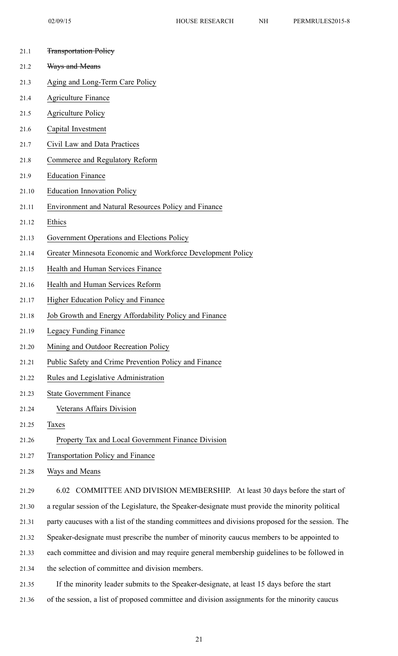| 21.1  | <b>Transportation Policy</b>                                                                      |
|-------|---------------------------------------------------------------------------------------------------|
| 21.2  | Ways and Means                                                                                    |
| 21.3  | Aging and Long-Term Care Policy                                                                   |
| 21.4  | <b>Agriculture Finance</b>                                                                        |
| 21.5  | <b>Agriculture Policy</b>                                                                         |
| 21.6  | Capital Investment                                                                                |
| 21.7  | Civil Law and Data Practices                                                                      |
| 21.8  | Commerce and Regulatory Reform                                                                    |
| 21.9  | <b>Education Finance</b>                                                                          |
| 21.10 | <b>Education Innovation Policy</b>                                                                |
| 21.11 | Environment and Natural Resources Policy and Finance                                              |
| 21.12 | Ethics                                                                                            |
| 21.13 | Government Operations and Elections Policy                                                        |
| 21.14 | Greater Minnesota Economic and Workforce Development Policy                                       |
| 21.15 | Health and Human Services Finance                                                                 |
| 21.16 | Health and Human Services Reform                                                                  |
| 21.17 | Higher Education Policy and Finance                                                               |
| 21.18 | Job Growth and Energy Affordability Policy and Finance                                            |
| 21.19 | Legacy Funding Finance                                                                            |
| 21.20 | Mining and Outdoor Recreation Policy                                                              |
| 21.21 | Public Safety and Crime Prevention Policy and Finance                                             |
| 21.22 | Rules and Legislative Administration                                                              |
| 21.23 | <b>State Government Finance</b>                                                                   |
| 21.24 | Veterans Affairs Division                                                                         |
| 21.25 | Taxes                                                                                             |
| 21.26 | Property Tax and Local Government Finance Division                                                |
| 21.27 | <b>Transportation Policy and Finance</b>                                                          |
| 21.28 | Ways and Means                                                                                    |
| 21.29 | 6.02 COMMITTEE AND DIVISION MEMBERSHIP. At least 30 days before the start of                      |
| 21.30 | a regular session of the Legislature, the Speaker-designate must provide the minority political   |
| 21.31 | party caucuses with a list of the standing committees and divisions proposed for the session. The |
| 21.32 | Speaker-designate must prescribe the number of minority caucus members to be appointed to         |
| 21.33 | each committee and division and may require general membership guidelines to be followed in       |
| 21.34 | the selection of committee and division members.                                                  |
|       |                                                                                                   |

21.35 If the minority leader submits to the Speaker-designate, at least 15 days before the start 21.36 of the session, <sup>a</sup> list of proposed committee and division assignments for the minority caucus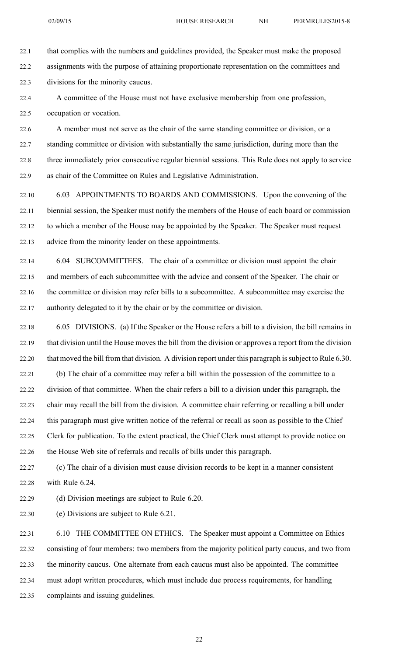02/09/15 HOUSE RESEARCH NH PERMRULES2015-8

22.1 that complies with the numbers and guidelines provided, the Speaker must make the proposed 22.2 assignments with the purpose of attaining proportionate representation on the committees and

22.3 divisions for the minority caucus.

22.4 A committee of the House must not have exclusive membership from one profession, 22.5 occupation or vocation.

22.6 A member must not serve as the chair of the same standing committee or division, or <sup>a</sup> 22.7 standing committee or division with substantially the same jurisdiction, during more than the 22.8 three immediately prior consecutive regular biennial sessions. This Rule does not apply to service 22.9 as chair of the Committee on Rules and Legislative Administration.

22.10 6.03 APPOINTMENTS TO BOARDS AND COMMISSIONS. Upon the convening of the 22.11 biennial session, the Speaker must notify the members of the House of each board or commission 22.12 to which <sup>a</sup> member of the House may be appointed by the Speaker. The Speaker must reques<sup>t</sup> 22.13 advice from the minority leader on these appointments.

22.14 6.04 SUBCOMMITTEES. The chair of <sup>a</sup> committee or division must appoint the chair 22.15 and members of each subcommittee with the advice and consent of the Speaker. The chair or 22.16 the committee or division may refer bills to <sup>a</sup> subcommittee. A subcommittee may exercise the 22.17 authority delegated to it by the chair or by the committee or division.

22.18 6.05 DIVISIONS. (a) If the Speaker or the House refers <sup>a</sup> bill to <sup>a</sup> division, the bill remains in 22.19 that division until the House moves the bill from the division or approves <sup>a</sup> repor<sup>t</sup> from the division 22.20 that moved the bill from that division. A division report under this paragraph is subject to Rule 6.30.

22.21 (b) The chair of <sup>a</sup> committee may refer <sup>a</sup> bill within the possession of the committee to <sup>a</sup> 22.22 division of that committee. When the chair refers <sup>a</sup> bill to <sup>a</sup> division under this paragraph, the 22.23 chair may recall the bill from the division. A committee chair referring or recalling <sup>a</sup> bill under 22.24 this paragraph must give written notice of the referral or recall as soon as possible to the Chief 22.25 Clerk for publication. To the extent practical, the Chief Clerk must attempt to provide notice on 22.26 the House Web site of referrals and recalls of bills under this paragraph.

22.27 (c) The chair of <sup>a</sup> division must cause division records to be kept in <sup>a</sup> manner consistent 22.28 with Rule 6.24.

22.29 (d) Division meetings are subject to Rule 6.20.

22.30 (e) Divisions are subject to Rule 6.21.

22.31 6.10 THE COMMITTEE ON ETHICS. The Speaker must appoint <sup>a</sup> Committee on Ethics 22.32 consisting of four members: two members from the majority political party caucus, and two from 22.33 the minority caucus. One alternate from each caucus must also be appointed. The committee 22.34 must adopt written procedures, which must include due process requirements, for handling 22.35 complaints and issuing guidelines.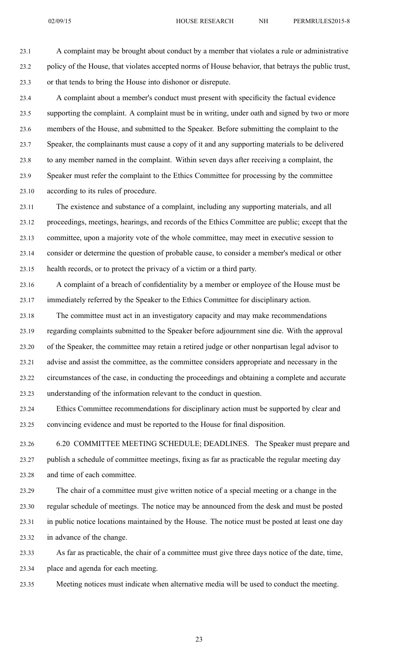23.1 A complaint may be brought about conduct by <sup>a</sup> member that violates <sup>a</sup> rule or administrative 23.2 policy of the House, that violates accepted norms of House behavior, that betrays the public trust, 23.3 or that tends to bring the House into dishonor or disrepute.

23.4 A complaint about <sup>a</sup> member's conduct must presen<sup>t</sup> with specificity the factual evidence 23.5 supporting the complaint. A complaint must be in writing, under oath and signed by two or more 23.6 members of the House, and submitted to the Speaker. Before submitting the complaint to the 23.7 Speaker, the complainants must cause <sup>a</sup> copy of it and any supporting materials to be delivered 23.8 to any member named in the complaint. Within seven days after receiving <sup>a</sup> complaint, the 23.9 Speaker must refer the complaint to the Ethics Committee for processing by the committee 23.10 according to its rules of procedure.

23.11 The existence and substance of <sup>a</sup> complaint, including any supporting materials, and all 23.12 proceedings, meetings, hearings, and records of the Ethics Committee are public; excep<sup>t</sup> that the 23.13 committee, upon <sup>a</sup> majority vote of the whole committee, may meet in executive session to 23.14 consider or determine the question of probable cause, to consider <sup>a</sup> member's medical or other 23.15 health records, or to protect the privacy of <sup>a</sup> victim or <sup>a</sup> third party.

- 23.16 A complaint of <sup>a</sup> breach of confidentiality by <sup>a</sup> member or employee of the House must be 23.17 immediately referred by the Speaker to the Ethics Committee for disciplinary action.
- 23.18 The committee must act in an investigatory capacity and may make recommendations 23.19 regarding complaints submitted to the Speaker before adjournment sine die. With the approval 23.20 of the Speaker, the committee may retain <sup>a</sup> retired judge or other nonpartisan legal advisor to 23.21 advise and assist the committee, as the committee considers appropriate and necessary in the 23.22 circumstances of the case, in conducting the proceedings and obtaining <sup>a</sup> complete and accurate 23.23 understanding of the information relevant to the conduct in question.
- 23.24 Ethics Committee recommendations for disciplinary action must be supported by clear and 23.25 convincing evidence and must be reported to the House for final disposition.
- 23.26 6.20 COMMITTEE MEETING SCHEDULE; DEADLINES. The Speaker must prepare and 23.27 publish <sup>a</sup> schedule of committee meetings, fixing as far as practicable the regular meeting day 23.28 and time of each committee.
- 23.29 The chair of <sup>a</sup> committee must give written notice of <sup>a</sup> special meeting or <sup>a</sup> change in the 23.30 regular schedule of meetings. The notice may be announced from the desk and must be posted 23.31 in public notice locations maintained by the House. The notice must be posted at least one day 23.32 in advance of the change.
- 23.33 As far as practicable, the chair of <sup>a</sup> committee must give three days notice of the date, time, 23.34 place and agenda for each meeting.
- 23.35 Meeting notices must indicate when alternative media will be used to conduct the meeting.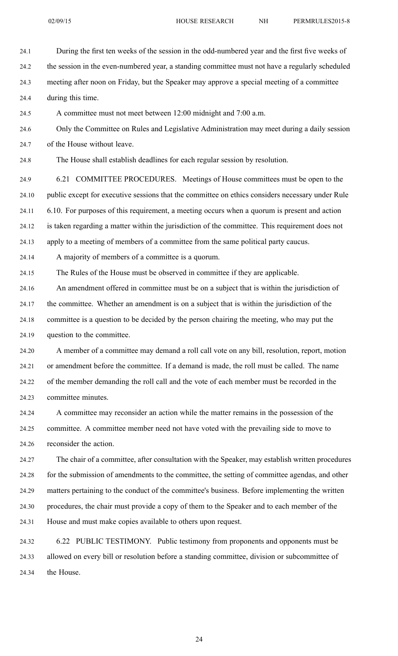24.1 During the first ten weeks of the session in the odd-numbered year and the first five weeks of 24.2 the session in the even-numbered year, <sup>a</sup> standing committee must not have <sup>a</sup> regularly scheduled 24.3 meeting after noon on Friday, but the Speaker may approve <sup>a</sup> special meeting of <sup>a</sup> committee 24.4 during this time. 24.5 A committee must not meet between 12:00 midnight and 7:00 a.m. 24.6 Only the Committee on Rules and Legislative Administration may meet during <sup>a</sup> daily session 24.7 of the House without leave. 24.8 The House shall establish deadlines for each regular session by resolution. 24.9 6.21 COMMITTEE PROCEDURES. Meetings of House committees must be open to the 24.10 public excep<sup>t</sup> for executive sessions that the committee on ethics considers necessary under Rule 24.11 6.10. For purposes of this requirement, <sup>a</sup> meeting occurs when <sup>a</sup> quorum is presen<sup>t</sup> and action 24.12 is taken regarding <sup>a</sup> matter within the jurisdiction of the committee. This requirement does not 24.13 apply to <sup>a</sup> meeting of members of <sup>a</sup> committee from the same political party caucus. 24.14 A majority of members of <sup>a</sup> committee is <sup>a</sup> quorum. 24.15 The Rules of the House must be observed in committee if they are applicable. 24.16 An amendment offered in committee must be on <sup>a</sup> subject that is within the jurisdiction of 24.17 the committee. Whether an amendment is on <sup>a</sup> subject that is within the jurisdiction of the 24.18 committee is <sup>a</sup> question to be decided by the person chairing the meeting, who may pu<sup>t</sup> the 24.19 question to the committee. 24.20 A member of <sup>a</sup> committee may demand <sup>a</sup> roll call vote on any bill, resolution, report, motion 24.21 or amendment before the committee. If <sup>a</sup> demand is made, the roll must be called. The name 24.22 of the member demanding the roll call and the vote of each member must be recorded in the 24.23 committee minutes. 24.24 A committee may reconsider an action while the matter remains in the possession of the 24.25 committee. A committee member need not have voted with the prevailing side to move to 24.26 reconsider the action. 24.27 The chair of <sup>a</sup> committee, after consultation with the Speaker, may establish written procedures 24.28 for the submission of amendments to the committee, the setting of committee agendas, and other 24.29 matters pertaining to the conduct of the committee's business. Before implementing the written

24.30 procedures, the chair must provide <sup>a</sup> copy of them to the Speaker and to each member of the 24.31 House and must make copies available to others upon request.

24.32 6.22 PUBLIC TESTIMONY. Public testimony from proponents and opponents must be 24.33 allowed on every bill or resolution before <sup>a</sup> standing committee, division or subcommittee of 24.34 the House.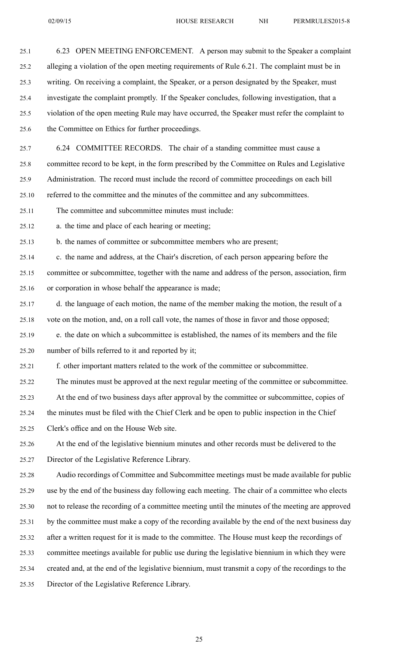25.2 alleging <sup>a</sup> violation of the open meeting requirements of Rule 6.21. The complaint must be in 25.3 writing. On receiving <sup>a</sup> complaint, the Speaker, or <sup>a</sup> person designated by the Speaker, must 25.4 investigate the complaint promptly. If the Speaker concludes, following investigation, that <sup>a</sup> 25.5 violation of the open meeting Rule may have occurred, the Speaker must refer the complaint to 25.6 the Committee on Ethics for further proceedings. 25.7 6.24 COMMITTEE RECORDS. The chair of <sup>a</sup> standing committee must cause <sup>a</sup> 25.8 committee record to be kept, in the form prescribed by the Committee on Rules and Legislative 25.9 Administration. The record must include the record of committee proceedings on each bill 25.10 referred to the committee and the minutes of the committee and any subcommittees. 25.11 The committee and subcommittee minutes must include: 25.12 a. the time and place of each hearing or meeting; 25.13 b. the names of committee or subcommittee members who are present; 25.14 c. the name and address, at the Chair's discretion, of each person appearing before the 25.15 committee or subcommittee, together with the name and address of the person, association, firm 25.16 or corporation in whose behalf the appearance is made; 25.17 d. the language of each motion, the name of the member making the motion, the result of <sup>a</sup> 25.18 vote on the motion, and, on <sup>a</sup> roll call vote, the names of those in favor and those opposed; 25.19 e. the date on which <sup>a</sup> subcommittee is established, the names of its members and the file 25.20 number of bills referred to it and reported by it; 25.21 f. other important matters related to the work of the committee or subcommittee. 25.22 The minutes must be approved at the next regular meeting of the committee or subcommittee. 25.23 At the end of two business days after approval by the committee or subcommittee, copies of 25.24 the minutes must be filed with the Chief Clerk and be open to public inspection in the Chief 25.25 Clerk's office and on the House Web site. 25.26 At the end of the legislative biennium minutes and other records must be delivered to the 25.27 Director of the Legislative Reference Library. 25.28 Audio recordings of Committee and Subcommittee meetings must be made available for public 25.29 use by the end of the business day following each meeting. The chair of <sup>a</sup> committee who elects 25.30 not to release the recording of <sup>a</sup> committee meeting until the minutes of the meeting are approved 25.31 by the committee must make <sup>a</sup> copy of the recording available by the end of the next business day 25.32 after <sup>a</sup> written reques<sup>t</sup> for it is made to the committee. The House must keep the recordings of 25.33 committee meetings available for public use during the legislative biennium in which they were 25.34 created and, at the end of the legislative biennium, must transmit <sup>a</sup> copy of the recordings to the 25.35 Director of the Legislative Reference Library.

25.1 6.23 OPEN MEETING ENFORCEMENT. A person may submit to the Speaker <sup>a</sup> complaint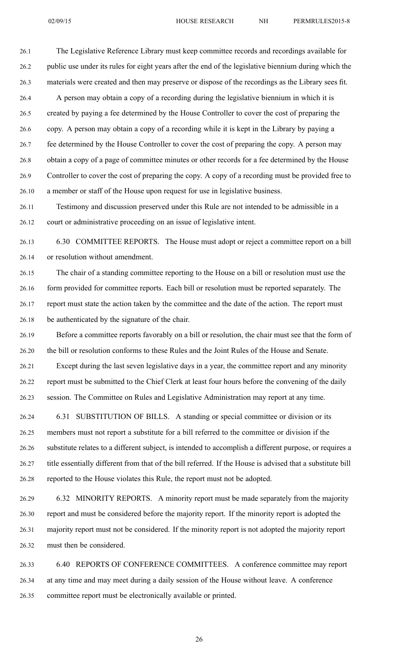26.1 The Legislative Reference Library must keep committee records and recordings available for 26.2 public use under its rules for eight years after the end of the legislative biennium during which the 26.3 materials were created and then may preserve or dispose of the recordings as the Library sees fit. 26.4 A person may obtain <sup>a</sup> copy of <sup>a</sup> recording during the legislative biennium in which it is 26.5 created by paying <sup>a</sup> fee determined by the House Controller to cover the cost of preparing the 26.6 copy. A person may obtain <sup>a</sup> copy of <sup>a</sup> recording while it is kept in the Library by paying <sup>a</sup> 26.7 fee determined by the House Controller to cover the cost of preparing the copy. A person may 26.8 obtain <sup>a</sup> copy of <sup>a</sup> page of committee minutes or other records for <sup>a</sup> fee determined by the House 26.9 Controller to cover the cost of preparing the copy. A copy of <sup>a</sup> recording must be provided free to 26.10 <sup>a</sup> member or staff of the House upon reques<sup>t</sup> for use in legislative business.

26.11 Testimony and discussion preserved under this Rule are not intended to be admissible in <sup>a</sup> 26.12 court or administrative proceeding on an issue of legislative intent.

26.13 6.30 COMMITTEE REPORTS. The House must adopt or reject <sup>a</sup> committee repor<sup>t</sup> on <sup>a</sup> bill 26.14 or resolution without amendment.

26.15 The chair of <sup>a</sup> standing committee reporting to the House on <sup>a</sup> bill or resolution must use the 26.16 form provided for committee reports. Each bill or resolution must be reported separately. The 26.17 repor<sup>t</sup> must state the action taken by the committee and the date of the action. The repor<sup>t</sup> must 26.18 be authenticated by the signature of the chair.

26.19 Before <sup>a</sup> committee reports favorably on <sup>a</sup> bill or resolution, the chair must see that the form of 26.20 the bill or resolution conforms to these Rules and the Joint Rules of the House and Senate.

26.21 Except during the last seven legislative days in <sup>a</sup> year, the committee repor<sup>t</sup> and any minority 26.22 repor<sup>t</sup> must be submitted to the Chief Clerk at least four hours before the convening of the daily 26.23 session. The Committee on Rules and Legislative Administration may repor<sup>t</sup> at any time.

26.24 6.31 SUBSTITUTION OF BILLS. A standing or special committee or division or its 26.25 members must not repor<sup>t</sup> <sup>a</sup> substitute for <sup>a</sup> bill referred to the committee or division if the 26.26 substitute relates to <sup>a</sup> different subject, is intended to accomplish <sup>a</sup> different purpose, or requires <sup>a</sup> 26.27 title essentially different from that of the bill referred. If the House is advised that <sup>a</sup> substitute bill 26.28 reported to the House violates this Rule, the repor<sup>t</sup> must not be adopted.

26.29 6.32 MINORITY REPORTS. A minority repor<sup>t</sup> must be made separately from the majority 26.30 repor<sup>t</sup> and must be considered before the majority report. If the minority repor<sup>t</sup> is adopted the 26.31 majority repor<sup>t</sup> must not be considered. If the minority repor<sup>t</sup> is not adopted the majority repor<sup>t</sup> 26.32 must then be considered.

26.33 6.40 REPORTS OF CONFERENCE COMMITTEES. A conference committee may repor<sup>t</sup> 26.34 at any time and may meet during <sup>a</sup> daily session of the House without leave. A conference 26.35 committee repor<sup>t</sup> must be electronically available or printed.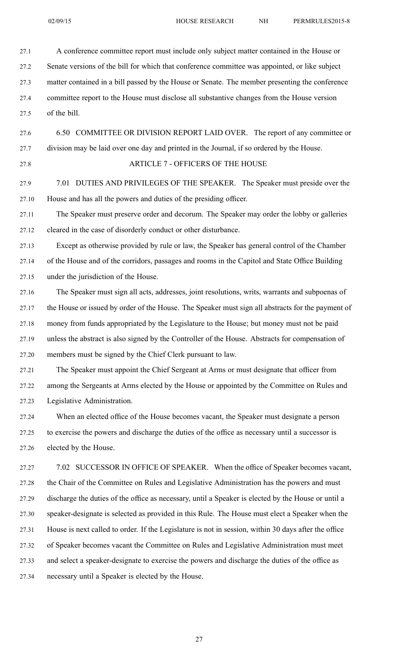| 27.1  | A conference committee report must include only subject matter contained in the House or             |
|-------|------------------------------------------------------------------------------------------------------|
| 27.2  | Senate versions of the bill for which that conference committee was appointed, or like subject       |
| 27.3  | matter contained in a bill passed by the House or Senate. The member presenting the conference       |
| 27.4  | committee report to the House must disclose all substantive changes from the House version           |
| 27.5  | of the bill.                                                                                         |
| 27.6  | 6.50 COMMITTEE OR DIVISION REPORT LAID OVER. The report of any committee or                          |
| 27.7  | division may be laid over one day and printed in the Journal, if so ordered by the House.            |
| 27.8  | <b>ARTICLE 7 - OFFICERS OF THE HOUSE</b>                                                             |
| 27.9  | DUTIES AND PRIVILEGES OF THE SPEAKER. The Speaker must preside over the<br>7.01                      |
| 27.10 | House and has all the powers and duties of the presiding officer.                                    |
| 27.11 | The Speaker must preserve order and decorum. The Speaker may order the lobby or galleries            |
| 27.12 | cleared in the case of disorderly conduct or other disturbance.                                      |
| 27.13 | Except as otherwise provided by rule or law, the Speaker has general control of the Chamber          |
| 27.14 | of the House and of the corridors, passages and rooms in the Capitol and State Office Building       |
| 27.15 | under the jurisdiction of the House.                                                                 |
| 27.16 | The Speaker must sign all acts, addresses, joint resolutions, writs, warrants and subpoenas of       |
| 27.17 | the House or issued by order of the House. The Speaker must sign all abstracts for the payment of    |
| 27.18 | money from funds appropriated by the Legislature to the House; but money must not be paid            |
| 27.19 | unless the abstract is also signed by the Controller of the House. Abstracts for compensation of     |
| 27.20 | members must be signed by the Chief Clerk pursuant to law.                                           |
| 27.21 | The Speaker must appoint the Chief Sergeant at Arms or must designate that officer from              |
| 27.22 | among the Sergeants at Arms elected by the House or appointed by the Committee on Rules and          |
| 27.23 | Legislative Administration.                                                                          |
| 27.24 | When an elected office of the House becomes vacant, the Speaker must designate a person              |
| 27.25 | to exercise the powers and discharge the duties of the office as necessary until a successor is      |
| 27.26 | elected by the House.                                                                                |
| 27.27 | 7.02 SUCCESSOR IN OFFICE OF SPEAKER. When the office of Speaker becomes vacant,                      |
| 27.28 | the Chair of the Committee on Rules and Legislative Administration has the powers and must           |
| 27.29 | discharge the duties of the office as necessary, until a Speaker is elected by the House or until a  |
| 27.30 | speaker-designate is selected as provided in this Rule. The House must elect a Speaker when the      |
| 27.31 | House is next called to order. If the Legislature is not in session, within 30 days after the office |
| 27.32 | of Speaker becomes vacant the Committee on Rules and Legislative Administration must meet            |
| 27.33 | and select a speaker-designate to exercise the powers and discharge the duties of the office as      |
| 27.34 | necessary until a Speaker is elected by the House.                                                   |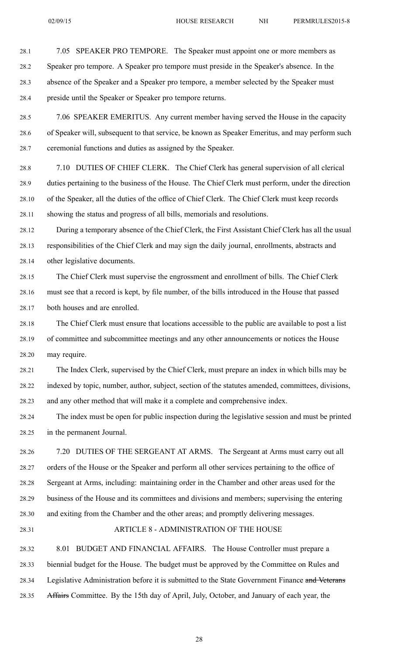28.1 7.05 SPEAKER PRO TEMPORE. The Speaker must appoint one or more members as

28.2 Speaker pro tempore. A Speaker pro tempore must preside in the Speaker's absence. In the 28.3 absence of the Speaker and <sup>a</sup> Speaker pro tempore, <sup>a</sup> member selected by the Speaker must 28.4 preside until the Speaker or Speaker pro tempore returns.

28.5 7.06 SPEAKER EMERITUS. Any current member having served the House in the capacity 28.6 of Speaker will, subsequent to that service, be known as Speaker Emeritus, and may perform such 28.7 ceremonial functions and duties as assigned by the Speaker.

28.8 7.10 DUTIES OF CHIEF CLERK. The Chief Clerk has general supervision of all clerical 28.9 duties pertaining to the business of the House. The Chief Clerk must perform, under the direction 28.10 of the Speaker, all the duties of the office of Chief Clerk. The Chief Clerk must keep records 28.11 showing the status and progress of all bills, memorials and resolutions.

28.12 During <sup>a</sup> temporary absence of the Chief Clerk, the First Assistant Chief Clerk has all the usual 28.13 responsibilities of the Chief Clerk and may sign the daily journal, enrollments, abstracts and 28.14 other legislative documents.

28.15 The Chief Clerk must supervise the engrossmen<sup>t</sup> and enrollment of bills. The Chief Clerk 28.16 must see that <sup>a</sup> record is kept, by file number, of the bills introduced in the House that passed 28.17 both houses and are enrolled.

28.18 The Chief Clerk must ensure that locations accessible to the public are available to pos<sup>t</sup> <sup>a</sup> list 28.19 of committee and subcommittee meetings and any other announcements or notices the House 28.20 may require.

28.21 The Index Clerk, supervised by the Chief Clerk, must prepare an index in which bills may be 28.22 indexed by topic, number, author, subject, section of the statutes amended, committees, divisions, 28.23 and any other method that will make it <sup>a</sup> complete and comprehensive index.

28.24 The index must be open for public inspection during the legislative session and must be printed 28.25 in the permanen<sup>t</sup> Journal.

28.26 7.20 DUTIES OF THE SERGEANT AT ARMS. The Sergeant at Arms must carry out all 28.27 orders of the House or the Speaker and perform all other services pertaining to the office of 28.28 Sergeant at Arms, including: maintaining order in the Chamber and other areas used for the 28.29 business of the House and its committees and divisions and members; supervising the entering 28.30 and exiting from the Chamber and the other areas; and promptly delivering messages.

## 28.31 ARTICLE 8 - ADMINISTRATION OF THE HOUSE

28.32 8.01 BUDGET AND FINANCIAL AFFAIRS. The House Controller must prepare <sup>a</sup> 28.33 biennial budget for the House. The budget must be approved by the Committee on Rules and 28.34 Legislative Administration before it is submitted to the State Government Finance and Veterans 28.35 Affairs Committee. By the 15th day of April, July, October, and January of each year, the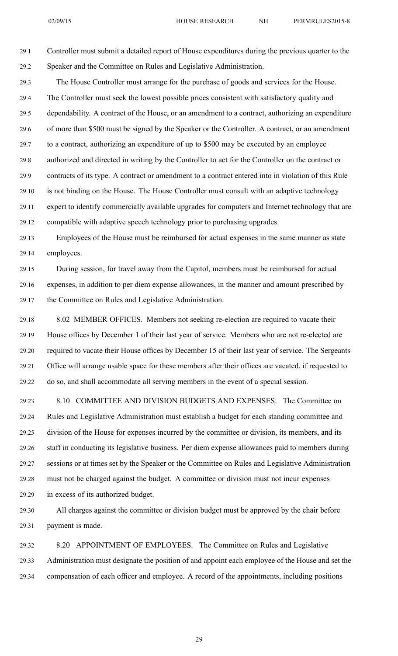29.1 Controller must submit <sup>a</sup> detailed repor<sup>t</sup> of House expenditures during the previous quarter to the 29.2 Speaker and the Committee on Rules and Legislative Administration.

29.3 The House Controller must arrange for the purchase of goods and services for the House. 29.4 The Controller must seek the lowest possible prices consistent with satisfactory quality and 29.5 dependability. A contract of the House, or an amendment to <sup>a</sup> contract, authorizing an expenditure 29.6 of more than \$500 must be signed by the Speaker or the Controller. A contract, or an amendment 29.7 to <sup>a</sup> contract, authorizing an expenditure of up to \$500 may be executed by an employee 29.8 authorized and directed in writing by the Controller to act for the Controller on the contract or 29.9 contracts of its type. A contract or amendment to <sup>a</sup> contract entered into in violation of this Rule 29.10 is not binding on the House. The House Controller must consult with an adaptive technology 29.11 exper<sup>t</sup> to identify commercially available upgrades for computers and Internet technology that are 29.12 compatible with adaptive speech technology prior to purchasing upgrades.

29.13 Employees of the House must be reimbursed for actual expenses in the same manner as state 29.14 employees.

29.15 During session, for travel away from the Capitol, members must be reimbursed for actual 29.16 expenses, in addition to per diem expense allowances, in the manner and amount prescribed by 29.17 the Committee on Rules and Legislative Administration.

29.18 8.02 MEMBER OFFICES. Members not seeking re-election are required to vacate their 29.19 House offices by December 1 of their last year of service. Members who are not re-elected are 29.20 required to vacate their House offices by December 15 of their last year of service. The Sergeants 29.21 Office will arrange usable space for these members after their offices are vacated, if requested to 29.22 do so, and shall accommodate all serving members in the event of <sup>a</sup> special session.

29.23 8.10 COMMITTEE AND DIVISION BUDGETS AND EXPENSES. The Committee on 29.24 Rules and Legislative Administration must establish <sup>a</sup> budget for each standing committee and 29.25 division of the House for expenses incurred by the committee or division, its members, and its 29.26 staff in conducting its legislative business. Per diem expense allowances paid to members during 29.27 sessions or at times set by the Speaker or the Committee on Rules and Legislative Administration 29.28 must not be charged against the budget. A committee or division must not incur expenses 29.29 in excess of its authorized budget.

29.30 All charges against the committee or division budget must be approved by the chair before 29.31 paymen<sup>t</sup> is made.

29.32 8.20 APPOINTMENT OF EMPLOYEES. The Committee on Rules and Legislative 29.33 Administration must designate the position of and appoint each employee of the House and set the 29.34 compensation of each officer and employee. A record of the appointments, including positions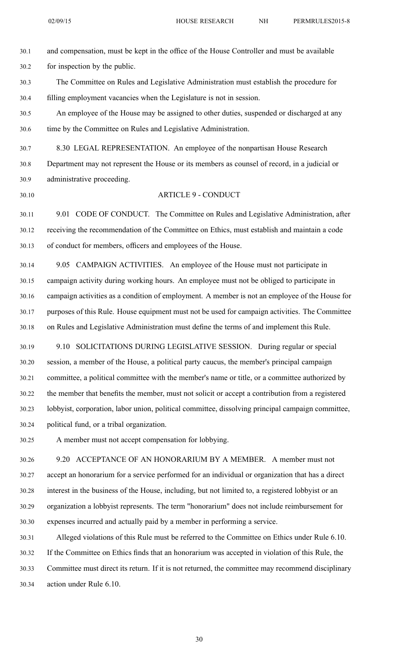02/09/15 HOUSE RESEARCH NH PERMRULES2015-8

30.1 and compensation, must be kept in the office of the House Controller and must be available 30.2 for inspection by the public. 30.3 The Committee on Rules and Legislative Administration must establish the procedure for 30.4 filling employment vacancies when the Legislature is not in session. 30.5 An employee of the House may be assigned to other duties, suspended or discharged at any 30.6 time by the Committee on Rules and Legislative Administration. 30.7 8.30 LEGAL REPRESENTATION. An employee of the nonpartisan House Research 30.8 Department may not represen<sup>t</sup> the House or its members as counsel of record, in <sup>a</sup> judicial or 30.9 administrative proceeding. 30.10 ARTICLE 9 - CONDUCT 30.11 9.01 CODE OF CONDUCT. The Committee on Rules and Legislative Administration, after 30.12 receiving the recommendation of the Committee on Ethics, must establish and maintain <sup>a</sup> code 30.13 of conduct for members, officers and employees of the House. 30.14 9.05 CAMPAIGN ACTIVITIES. An employee of the House must not participate in

30.15 campaign activity during working hours. An employee must not be obliged to participate in 30.16 campaign activities as <sup>a</sup> condition of employment. A member is not an employee of the House for 30.17 purposes of this Rule. House equipment must not be used for campaign activities. The Committee 30.18 on Rules and Legislative Administration must define the terms of and implement this Rule.

30.19 9.10 SOLICITATIONS DURING LEGISLATIVE SESSION. During regular or special 30.20 session, <sup>a</sup> member of the House, <sup>a</sup> political party caucus, the member's principal campaign 30.21 committee, <sup>a</sup> political committee with the member's name or title, or <sup>a</sup> committee authorized by 30.22 the member that benefits the member, must not solicit or accep<sup>t</sup> <sup>a</sup> contribution from <sup>a</sup> registered 30.23 lobbyist, corporation, labor union, political committee, dissolving principal campaign committee, 30.24 political fund, or <sup>a</sup> tribal organization.

30.25 A member must not accep<sup>t</sup> compensation for lobbying.

30.26 9.20 ACCEPTANCE OF AN HONORARIUM BY A MEMBER. A member must not 30.27 accep<sup>t</sup> an honorarium for <sup>a</sup> service performed for an individual or organization that has <sup>a</sup> direct 30.28 interest in the business of the House, including, but not limited to, <sup>a</sup> registered lobbyist or an 30.29 organization <sup>a</sup> lobbyist represents. The term "honorarium" does not include reimbursement for 30.30 expenses incurred and actually paid by <sup>a</sup> member in performing <sup>a</sup> service.

30.31 Alleged violations of this Rule must be referred to the Committee on Ethics under Rule 6.10. 30.32 If the Committee on Ethics finds that an honorarium was accepted in violation of this Rule, the 30.33 Committee must direct its return. If it is not returned, the committee may recommend disciplinary 30.34 action under Rule 6.10.